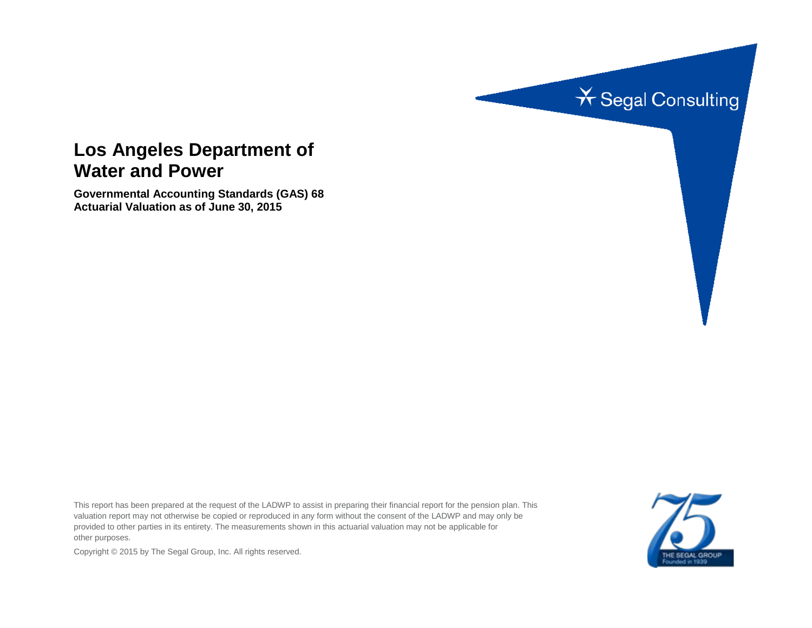

# **Los Angeles Department of Water and Power**

**Governmental Accounting Standards (GAS) 68 Actuarial Valuation as of June 30, 2015**

This report has been prepared at the request of the LADWP to assist in preparing their financial report for the pension plan. This valuation report may not otherwise be copied or reproduced in any form without the consent of the LADWP and may only be provided to other parties in its entirety. The measurements shown in this actuarial valuation may not be applicable for other purposes.



Copyright © 2015 by The Segal Group, Inc. All rights reserved.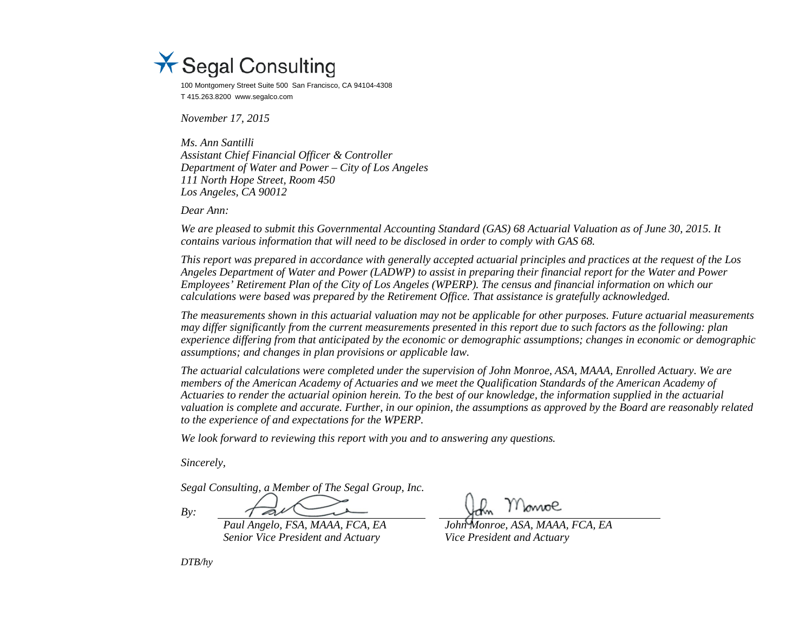

100 Montgomery Street Suite 500 San Francisco, CA 94104-4308 T 415.263.8200 www.segalco.com

*November 17, 2015*

*Ms. Ann Santilli Assistant Chief Financial Officer & Controller Department of Water and Power – City of Los Angeles 111 North Hope Street, Room 450 Los Angeles, CA 90012*

*Dear Ann:*

*We are pleased to submit this Governmental Accounting Standard (GAS) 68 Actuarial Valuation as of June 30, 2015. It contains various information that will need to be disclosed in order to comply with GAS 68.*

*This report was prepared in accordance with generally accepted actuarial principles and practices at the request of the Los Angeles Department of Water and Power (LADWP) to assist in preparing their financial report for the Water and Power Employees' Retirement Plan of the City of Los Angeles (WPERP). The census and financial information on which our calculations were based was prepared by the Retirement Office. That assistance is gratefully acknowledged.* 

*The measurements shown in this actuarial valuation may not be applicable for other purposes. Future actuarial measurements may differ significantly from the current measurements presented in this report due to such factors as the following: plan experience differing from that anticipated by the economic or demographic assumptions; changes in economic or demographic assumptions; and changes in plan provisions or applicable law.*

*The actuarial calculations were completed under the supervision of John Monroe, ASA, MAAA, Enrolled Actuary. We are members of the American Academy of Actuaries and we meet the Qualification Standards of the American Academy of Actuaries to render the actuarial opinion herein. To the best of our knowledge, the information supplied in the actuarial valuation is complete and accurate. Further, in our opinion, the assumptions as approved by the Board are reasonably related to the experience of and expectations for the WPERP.*

*We look forward to reviewing this report with you and to answering any questions.*

*Sincerely,*

*Segal Consulting, a Member of The Segal Group, Inc.*

*By:*

*Senior Vice President and Actuary Vice President and Actuary*

Monoe

*Paul Angelo, FSA, MAAA, FCA, EA John Monroe, ASA, MAAA, FCA, EA*

*DTB/hy*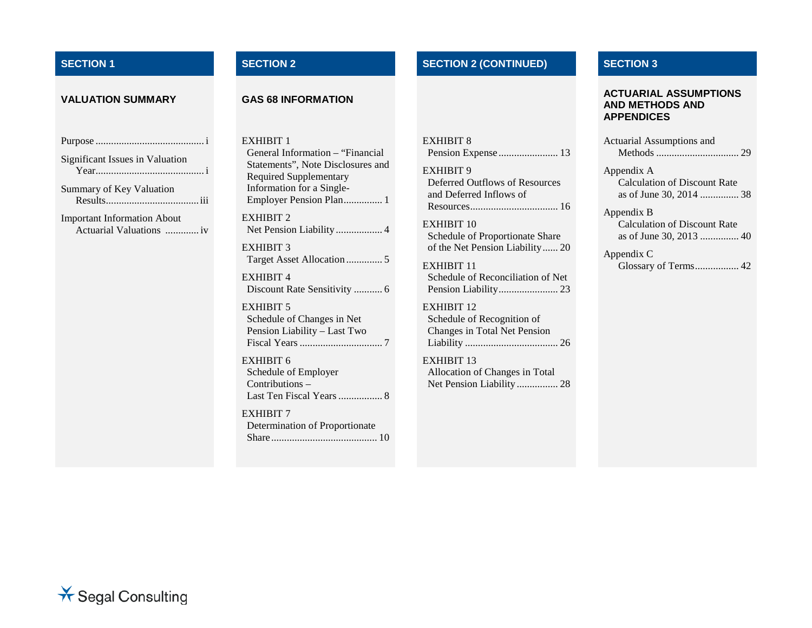## **SECTION 1 SECTION 2 SECTION 2 (CONTINUED) SECTION 3**

| Significant Issues in Valuation                               |
|---------------------------------------------------------------|
| Summary of Key Valuation                                      |
| <b>Important Information About</b><br>Actuarial Valuations iv |

EXHIBIT 1 General Information – "Financial Statements", Note Disclosures and Required Supplementary Information for a Single-Employer Pension Plan............... 1 EXHIBIT 2 Net Pension Liability .................. 4 EXHIBIT 3 Target Asset Allocation .............. 5 EXHIBIT 4 Discount Rate Sensitivity ........... 6 EXHIBIT 5 Schedule of Changes in Net Pension Liability – Last Two Fiscal Years................................ 7 EXHIBIT 6 Schedule of Employer Contributions – Last Ten Fiscal Years................. 8 EXHIBIT 7 Determination of Proportionate

Share......................................... 10

EXHIBIT 8 Pension Expense ....................... 13 EXHIBIT 9 Deferred Outflows of Resources

and Deferred Inflows of Resources.................................. 16

EXHIBIT 10 Schedule of Proportionate Share of the Net Pension Liability...... 20

EXHIBIT 11 Schedule of Reconciliation of Net Pension Liability....................... 23

EXHIBIT 12 Schedule of Recognition of Changes in Total Net Pension Liability .................................... 26

EXHIBIT 13 Allocation of Changes in Total Net Pension Liability ................ 28

#### **VALUATION SUMMARY GAS 68 INFORMATION ACTUARIAL ASSUMPTIONS AND METHODS AND APPENDICES**

| Actuarial Assumptions and                         |
|---------------------------------------------------|
| Appendix A<br><b>Calculation of Discount Rate</b> |
| Appendix B<br><b>Calculation of Discount Rate</b> |
| Appendix C                                        |

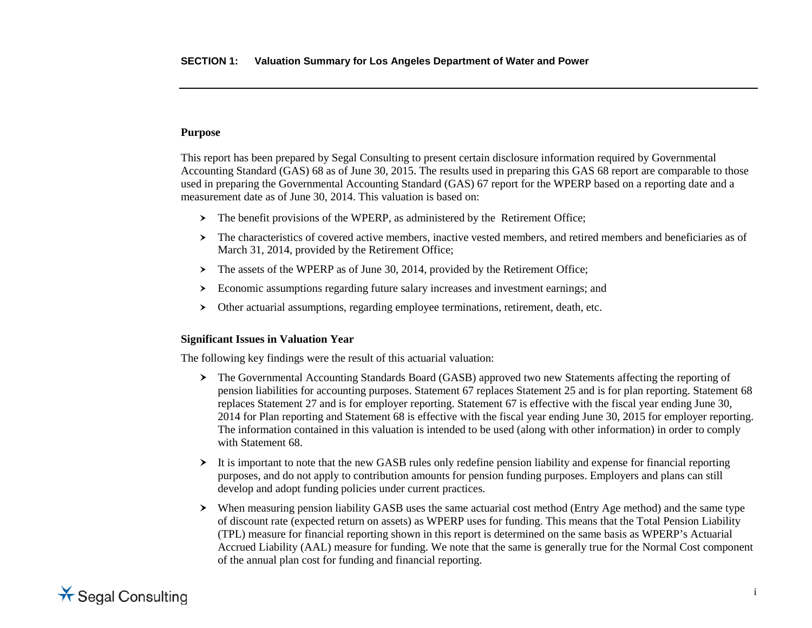## **Purpose**

This report has been prepared by Segal Consulting to present certain disclosure information required by Governmental Accounting Standard (GAS) 68 as of June 30, 2015. The results used in preparing this GAS 68 report are comparable to those used in preparing the Governmental Accounting Standard (GAS) 67 report for the WPERP based on a reporting date and a measurement date as of June 30, 2014. This valuation is based on:

- $\triangleright$  The benefit provisions of the WPERP, as administered by the Retirement Office;
- $\geq$  The characteristics of covered active members, inactive vested members, and retired members and beneficiaries as of March 31, 2014, provided by the Retirement Office;
- > The assets of the WPERP as of June 30, 2014, provided by the Retirement Office;
- Economic assumptions regarding future salary increases and investment earnings; and
- Other actuarial assumptions, regarding employee terminations, retirement, death, etc.

## **Significant Issues in Valuation Year**

The following key findings were the result of this actuarial valuation:

- The Governmental Accounting Standards Board (GASB) approved two new Statements affecting the reporting of pension liabilities for accounting purposes. Statement 67 replaces Statement 25 and is for plan reporting. Statement 68 replaces Statement 27 and is for employer reporting. Statement 67 is effective with the fiscal year ending June 30, 2014 for Plan reporting and Statement 68 is effective with the fiscal year ending June 30, 2015 for employer reporting. The information contained in this valuation is intended to be used (along with other information) in order to comply with Statement 68.
- $\geq$  It is important to note that the new GASB rules only redefine pension liability and expense for financial reporting purposes, and do not apply to contribution amounts for pension funding purposes. Employers and plans can still develop and adopt funding policies under current practices.
- When measuring pension liability GASB uses the same actuarial cost method (Entry Age method) and the same type of discount rate (expected return on assets) as WPERP uses for funding. This means that the Total Pension Liability (TPL) measure for financial reporting shown in this report is determined on the same basis as WPERP's Actuarial Accrued Liability (AAL) measure for funding. We note that the same is generally true for the Normal Cost component of the annual plan cost for funding and financial reporting.

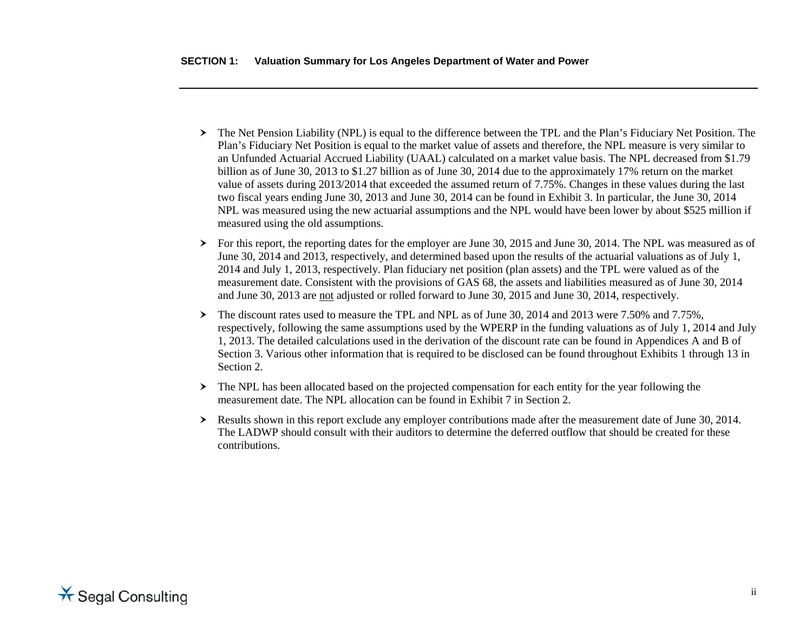- The Net Pension Liability (NPL) is equal to the difference between the TPL and the Plan's Fiduciary Net Position. The Plan's Fiduciary Net Position is equal to the market value of assets and therefore, the NPL measure is very similar to an Unfunded Actuarial Accrued Liability (UAAL) calculated on a market value basis. The NPL decreased from \$1.79 billion as of June 30, 2013 to \$1.27 billion as of June 30, 2014 due to the approximately 17% return on the market value of assets during 2013/2014 that exceeded the assumed return of 7.75%. Changes in these values during the last two fiscal years ending June 30, 2013 and June 30, 2014 can be found in Exhibit 3. In particular, the June 30, 2014 NPL was measured using the new actuarial assumptions and the NPL would have been lower by about \$525 million if measured using the old assumptions.
- For this report, the reporting dates for the employer are June 30, 2015 and June 30, 2014. The NPL was measured as of June 30, 2014 and 2013, respectively, and determined based upon the results of the actuarial valuations as of July 1, 2014 and July 1, 2013, respectively. Plan fiduciary net position (plan assets) and the TPL were valued as of the measurement date. Consistent with the provisions of GAS 68, the assets and liabilities measured as of June 30, 2014 and June 30, 2013 are not adjusted or rolled forward to June 30, 2015 and June 30, 2014, respectively.
- The discount rates used to measure the TPL and NPL as of June 30, 2014 and 2013 were 7.50% and 7.75%, respectively, following the same assumptions used by the WPERP in the funding valuations as of July 1, 2014 and July 1, 2013. The detailed calculations used in the derivation of the discount rate can be found in Appendices A and B of Section 3. Various other information that is required to be disclosed can be found throughout Exhibits 1 through 13 in Section 2.
- $\triangleright$  The NPL has been allocated based on the projected compensation for each entity for the year following the measurement date. The NPL allocation can be found in Exhibit 7 in Section 2.
- Results shown in this report exclude any employer contributions made after the measurement date of June 30, 2014. The LADWP should consult with their auditors to determine the deferred outflow that should be created for these contributions.

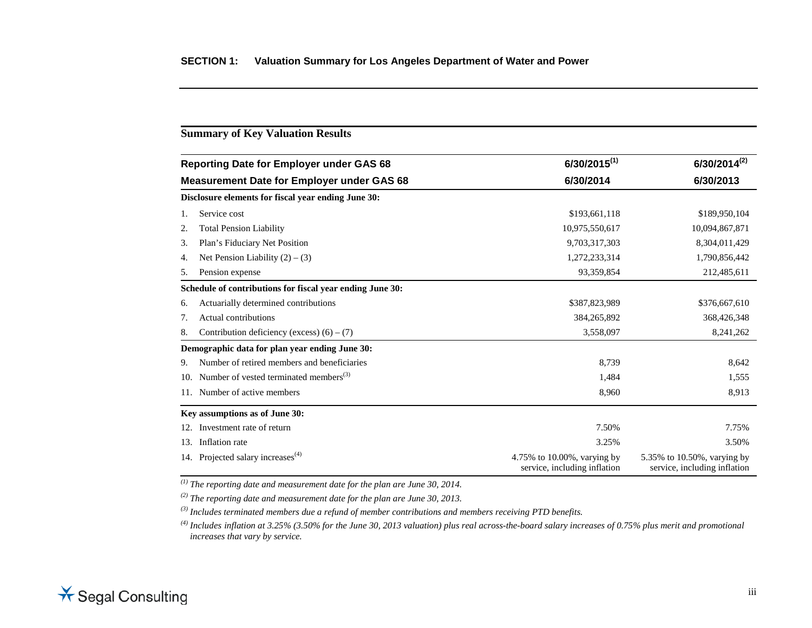## **Summary of Key Valuation Results**

| <b>Reporting Date for Employer under GAS 68</b><br><b>Measurement Date for Employer under GAS 68</b><br>6/30/2014 |                                                           | $6/30/2015^{(1)}$                                           | $6/30/2014^{(2)}$                                           |
|-------------------------------------------------------------------------------------------------------------------|-----------------------------------------------------------|-------------------------------------------------------------|-------------------------------------------------------------|
|                                                                                                                   |                                                           |                                                             | 6/30/2013                                                   |
|                                                                                                                   | Disclosure elements for fiscal year ending June 30:       |                                                             |                                                             |
| 1.                                                                                                                | Service cost                                              | \$193,661,118                                               | \$189,950,104                                               |
| 2.                                                                                                                | <b>Total Pension Liability</b>                            | 10,975,550,617                                              | 10,094,867,871                                              |
| 3.                                                                                                                | Plan's Fiduciary Net Position                             | 9,703,317,303                                               | 8,304,011,429                                               |
| 4.                                                                                                                | Net Pension Liability $(2) - (3)$                         | 1,272,233,314                                               | 1,790,856,442                                               |
| 5.                                                                                                                | Pension expense                                           | 93,359,854                                                  | 212,485,611                                                 |
|                                                                                                                   | Schedule of contributions for fiscal year ending June 30: |                                                             |                                                             |
| 6.                                                                                                                | Actuarially determined contributions                      | \$387,823,989                                               | \$376,667,610                                               |
| 7.                                                                                                                | Actual contributions                                      | 384, 265, 892                                               | 368,426,348                                                 |
| 8.                                                                                                                | Contribution deficiency (excess) $(6) - (7)$              | 3,558,097                                                   | 8,241,262                                                   |
|                                                                                                                   | Demographic data for plan year ending June 30:            |                                                             |                                                             |
| 9.                                                                                                                | Number of retired members and beneficiaries               | 8,739                                                       | 8,642                                                       |
| 10.                                                                                                               | Number of vested terminated members <sup>(3)</sup>        | 1,484                                                       | 1,555                                                       |
|                                                                                                                   | Number of active members                                  | 8,960                                                       | 8,913                                                       |
|                                                                                                                   | Key assumptions as of June 30:                            |                                                             |                                                             |
| 12.                                                                                                               | Investment rate of return                                 | 7.50%                                                       | 7.75%                                                       |
| 13.                                                                                                               | Inflation rate                                            | 3.25%                                                       | 3.50%                                                       |
|                                                                                                                   | 14. Projected salary increases $(4)$                      | 4.75% to 10.00%, varying by<br>service, including inflation | 5.35% to 10.50%, varying by<br>service, including inflation |

*(1) The reporting date and measurement date for the plan are June 30, 2014.*

*(2) The reporting date and measurement date for the plan are June 30, 2013.*

*(3) Includes terminated members due a refund of member contributions and members receiving PTD benefits.*

*(4) Includes inflation at 3.25% (3.50% for the June 30, 2013 valuation) plus real across-the-board salary increases of 0.75% plus merit and promotional increases that vary by service.* 

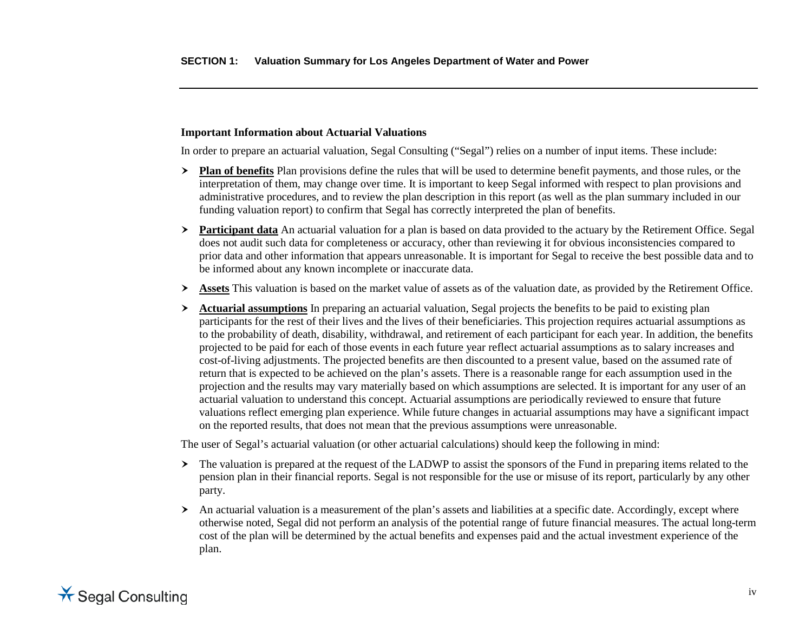## **Important Information about Actuarial Valuations**

In order to prepare an actuarial valuation, Segal Consulting ("Segal") relies on a number of input items. These include:

- **Plan of benefits** Plan provisions define the rules that will be used to determine benefit payments, and those rules, or the interpretation of them, may change over time. It is important to keep Segal informed with respect to plan provisions and administrative procedures, and to review the plan description in this report (as well as the plan summary included in our funding valuation report) to confirm that Segal has correctly interpreted the plan of benefits.
- **Participant data** An actuarial valuation for a plan is based on data provided to the actuary by the Retirement Office. Segal does not audit such data for completeness or accuracy, other than reviewing it for obvious inconsistencies compared to prior data and other information that appears unreasonable. It is important for Segal to receive the best possible data and to be informed about any known incomplete or inaccurate data.
- **Assets** This valuation is based on the market value of assets as of the valuation date, as provided by the Retirement Office.
- $\rightarrow$  **Actuarial assumptions** In preparing an actuarial valuation, Segal projects the benefits to be paid to existing plan participants for the rest of their lives and the lives of their beneficiaries. This projection requires actuarial assumptions as to the probability of death, disability, withdrawal, and retirement of each participant for each year. In addition, the benefits projected to be paid for each of those events in each future year reflect actuarial assumptions as to salary increases and cost-of-living adjustments. The projected benefits are then discounted to a present value, based on the assumed rate of return that is expected to be achieved on the plan's assets. There is a reasonable range for each assumption used in the projection and the results may vary materially based on which assumptions are selected. It is important for any user of an actuarial valuation to understand this concept. Actuarial assumptions are periodically reviewed to ensure that future valuations reflect emerging plan experience. While future changes in actuarial assumptions may have a significant impact on the reported results, that does not mean that the previous assumptions were unreasonable.

The user of Segal's actuarial valuation (or other actuarial calculations) should keep the following in mind:

- $\geq$  The valuation is prepared at the request of the LADWP to assist the sponsors of the Fund in preparing items related to the pension plan in their financial reports. Segal is not responsible for the use or misuse of its report, particularly by any other party.
- $\triangleright$  An actuarial valuation is a measurement of the plan's assets and liabilities at a specific date. Accordingly, except where otherwise noted, Segal did not perform an analysis of the potential range of future financial measures. The actual long-term cost of the plan will be determined by the actual benefits and expenses paid and the actual investment experience of the plan.

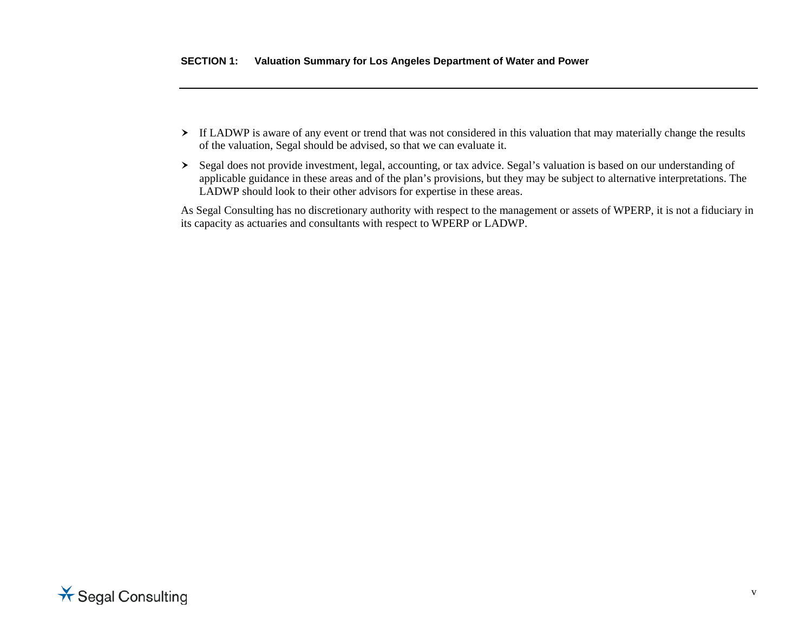- If LADWP is aware of any event or trend that was not considered in this valuation that may materially change the results of the valuation, Segal should be advised, so that we can evaluate it.
- Segal does not provide investment, legal, accounting, or tax advice. Segal's valuation is based on our understanding of applicable guidance in these areas and of the plan's provisions, but they may be subject to alternative interpretations. The LADWP should look to their other advisors for expertise in these areas.

As Segal Consulting has no discretionary authority with respect to the management or assets of WPERP, it is not a fiduciary in its capacity as actuaries and consultants with respect to WPERP or LADWP.

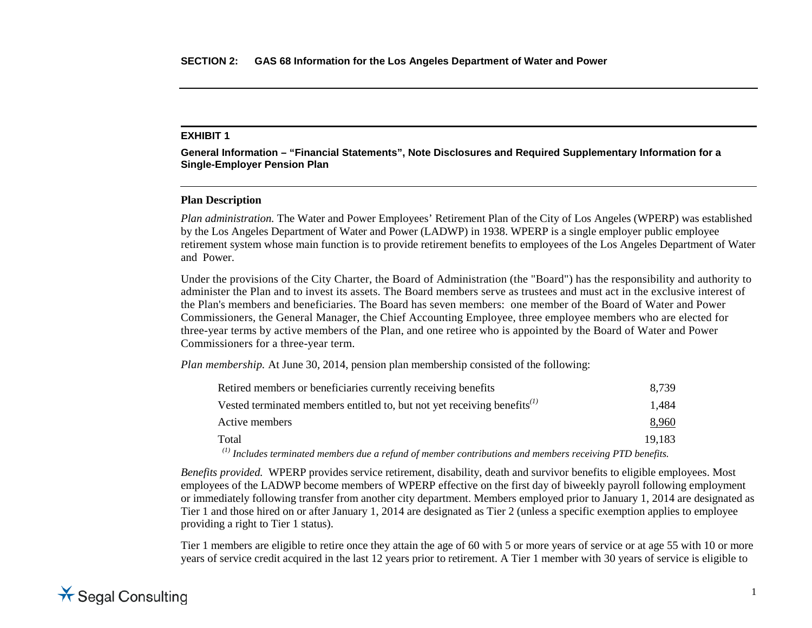**General Information – "Financial Statements", Note Disclosures and Required Supplementary Information for a Single-Employer Pension Plan**

## **Plan Description**

*Plan administration.* The Water and Power Employees' Retirement Plan of the City of Los Angeles (WPERP) was established by the Los Angeles Department of Water and Power (LADWP) in 1938. WPERP is a single employer public employee retirement system whose main function is to provide retirement benefits to employees of the Los Angeles Department of Water and Power.

Under the provisions of the City Charter, the Board of Administration (the "Board") has the responsibility and authority to administer the Plan and to invest its assets. The Board members serve as trustees and must act in the exclusive interest of the Plan's members and beneficiaries. The Board has seven members: one member of the Board of Water and Power Commissioners, the General Manager, the Chief Accounting Employee, three employee members who are elected for three-year terms by active members of the Plan, and one retiree who is appointed by the Board of Water and Power Commissioners for a three-year term.

*Plan membership.* At June 30, 2014, pension plan membership consisted of the following:

| Retired members or beneficiaries currently receiving benefits                                                 | 8.739  |
|---------------------------------------------------------------------------------------------------------------|--------|
| Vested terminated members entitled to, but not yet receiving benefits $\binom{1}{k}$                          | 1.484  |
| Active members                                                                                                | 8,960  |
| Total                                                                                                         | 19.183 |
| $\alpha$ Includes terminated members due a refund of member contributions and members receiving PTD benefits. |        |

*Benefits provided.* WPERP provides service retirement, disability, death and survivor benefits to eligible employees. Most employees of the LADWP become members of WPERP effective on the first day of biweekly payroll following employment or immediately following transfer from another city department. Members employed prior to January 1, 2014 are designated as Tier 1 and those hired on or after January 1, 2014 are designated as Tier 2 (unless a specific exemption applies to employee providing a right to Tier 1 status).

Tier 1 members are eligible to retire once they attain the age of 60 with 5 or more years of service or at age 55 with 10 or more years of service credit acquired in the last 12 years prior to retirement. A Tier 1 member with 30 years of service is eligible to

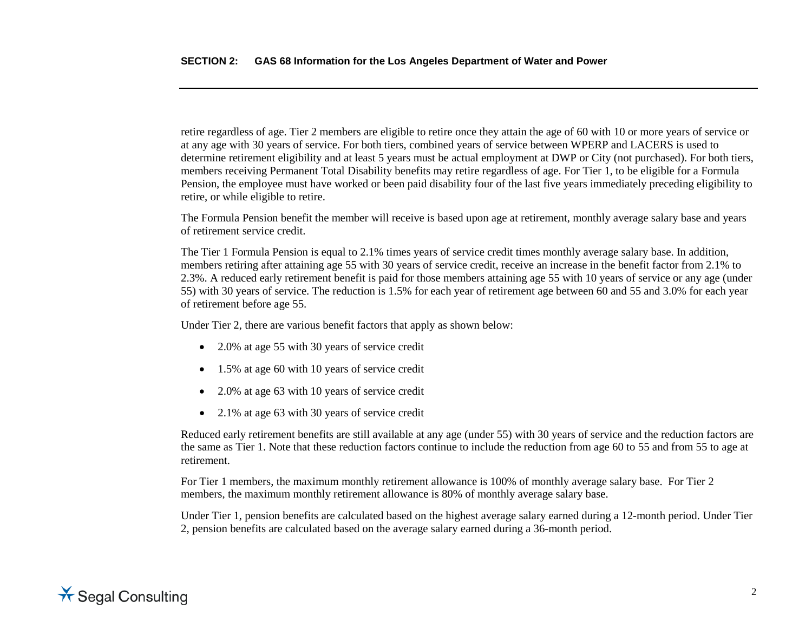retire regardless of age. Tier 2 members are eligible to retire once they attain the age of 60 with 10 or more years of service or at any age with 30 years of service. For both tiers, combined years of service between WPERP and LACERS is used to determine retirement eligibility and at least 5 years must be actual employment at DWP or City (not purchased). For both tiers, members receiving Permanent Total Disability benefits may retire regardless of age. For Tier 1, to be eligible for a Formula Pension, the employee must have worked or been paid disability four of the last five years immediately preceding eligibility to retire, or while eligible to retire.

The Formula Pension benefit the member will receive is based upon age at retirement, monthly average salary base and years of retirement service credit.

The Tier 1 Formula Pension is equal to 2.1% times years of service credit times monthly average salary base. In addition, members retiring after attaining age 55 with 30 years of service credit, receive an increase in the benefit factor from 2.1% to 2.3%. A reduced early retirement benefit is paid for those members attaining age 55 with 10 years of service or any age (under 55) with 30 years of service. The reduction is 1.5% for each year of retirement age between 60 and 55 and 3.0% for each year of retirement before age 55.

Under Tier 2, there are various benefit factors that apply as shown below:

- 2.0% at age 55 with 30 years of service credit
- 1.5% at age 60 with 10 years of service credit
- 2.0% at age 63 with 10 years of service credit
- 2.1% at age 63 with 30 years of service credit

Reduced early retirement benefits are still available at any age (under 55) with 30 years of service and the reduction factors are the same as Tier 1. Note that these reduction factors continue to include the reduction from age 60 to 55 and from 55 to age at retirement.

For Tier 1 members, the maximum monthly retirement allowance is 100% of monthly average salary base. For Tier 2 members, the maximum monthly retirement allowance is 80% of monthly average salary base.

Under Tier 1, pension benefits are calculated based on the highest average salary earned during a 12-month period. Under Tier 2, pension benefits are calculated based on the average salary earned during a 36-month period.

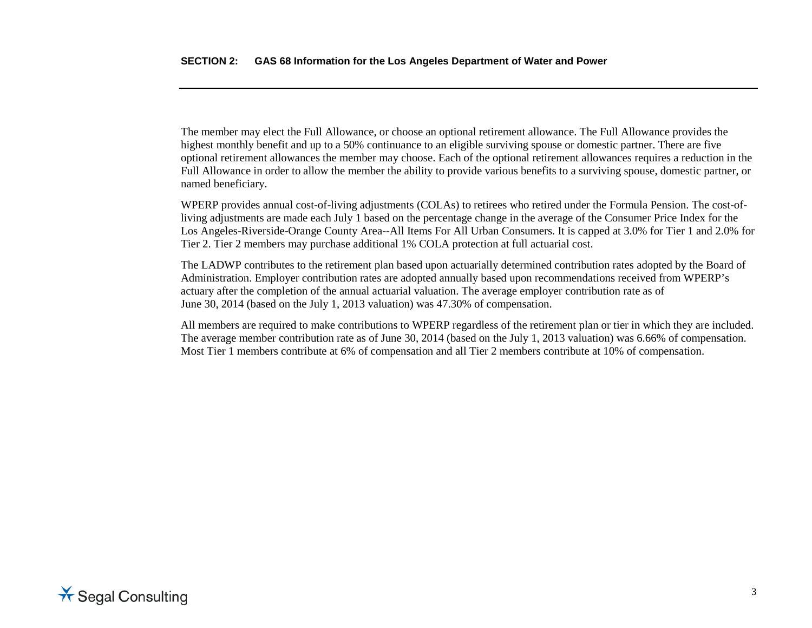The member may elect the Full Allowance, or choose an optional retirement allowance. The Full Allowance provides the highest monthly benefit and up to a 50% continuance to an eligible surviving spouse or domestic partner. There are five optional retirement allowances the member may choose. Each of the optional retirement allowances requires a reduction in the Full Allowance in order to allow the member the ability to provide various benefits to a surviving spouse, domestic partner, or named beneficiary.

WPERP provides annual cost-of-living adjustments (COLAs) to retirees who retired under the Formula Pension. The cost-ofliving adjustments are made each July 1 based on the percentage change in the average of the Consumer Price Index for the Los Angeles-Riverside-Orange County Area--All Items For All Urban Consumers. It is capped at 3.0% for Tier 1 and 2.0% for Tier 2. Tier 2 members may purchase additional 1% COLA protection at full actuarial cost.

The LADWP contributes to the retirement plan based upon actuarially determined contribution rates adopted by the Board of Administration. Employer contribution rates are adopted annually based upon recommendations received from WPERP's actuary after the completion of the annual actuarial valuation. The average employer contribution rate as of June 30, 2014 (based on the July 1, 2013 valuation) was 47.30% of compensation.

All members are required to make contributions to WPERP regardless of the retirement plan or tier in which they are included. The average member contribution rate as of June 30, 2014 (based on the July 1, 2013 valuation) was 6.66% of compensation. Most Tier 1 members contribute at 6% of compensation and all Tier 2 members contribute at 10% of compensation.

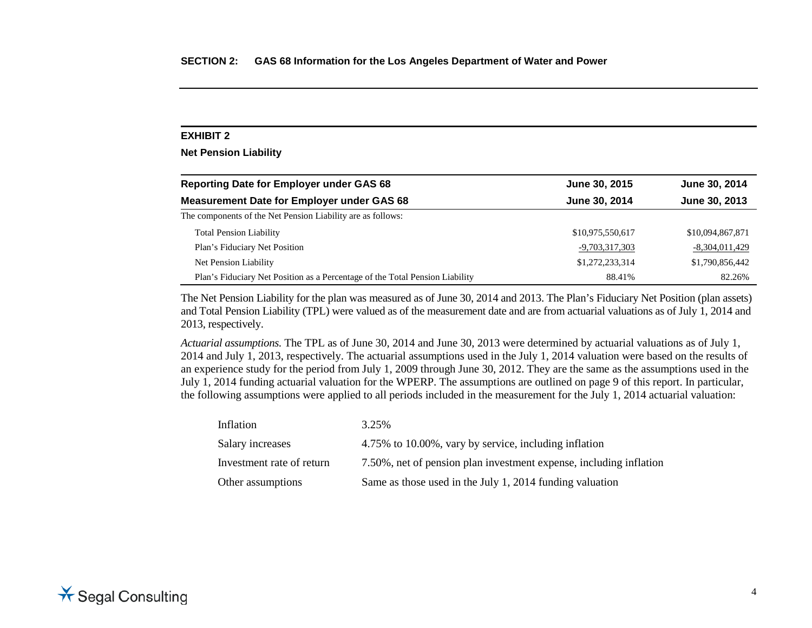**Net Pension Liability**

| <b>Reporting Date for Employer under GAS 68</b>                              | June 30, 2015    | June 30, 2014    |
|------------------------------------------------------------------------------|------------------|------------------|
| <b>Measurement Date for Employer under GAS 68</b>                            | June 30, 2014    | June 30, 2013    |
| The components of the Net Pension Liability are as follows:                  |                  |                  |
| <b>Total Pension Liability</b>                                               | \$10,975,550,617 | \$10,094,867,871 |
| Plan's Fiduciary Net Position                                                | -9,703,317,303   | $-8,304,011,429$ |
| Net Pension Liability                                                        | \$1,272,233,314  | \$1,790,856,442  |
| Plan's Fiduciary Net Position as a Percentage of the Total Pension Liability | 88.41%           | 82.26%           |

The Net Pension Liability for the plan was measured as of June 30, 2014 and 2013. The Plan's Fiduciary Net Position (plan assets) and Total Pension Liability (TPL) were valued as of the measurement date and are from actuarial valuations as of July 1, 2014 and 2013, respectively.

*Actuarial assumptions.* The TPL as of June 30, 2014 and June 30, 2013 were determined by actuarial valuations as of July 1, 2014 and July 1, 2013, respectively. The actuarial assumptions used in the July 1, 2014 valuation were based on the results of an experience study for the period from July 1, 2009 through June 30, 2012. They are the same as the assumptions used in the July 1, 2014 funding actuarial valuation for the WPERP. The assumptions are outlined on page 9 of this report. In particular, the following assumptions were applied to all periods included in the measurement for the July 1, 2014 actuarial valuation:

| Inflation                 | 3.25%                                                              |
|---------------------------|--------------------------------------------------------------------|
| Salary increases          | 4.75% to 10.00%, vary by service, including inflation              |
| Investment rate of return | 7.50%, net of pension plan investment expense, including inflation |
| Other assumptions         | Same as those used in the July 1, 2014 funding valuation           |

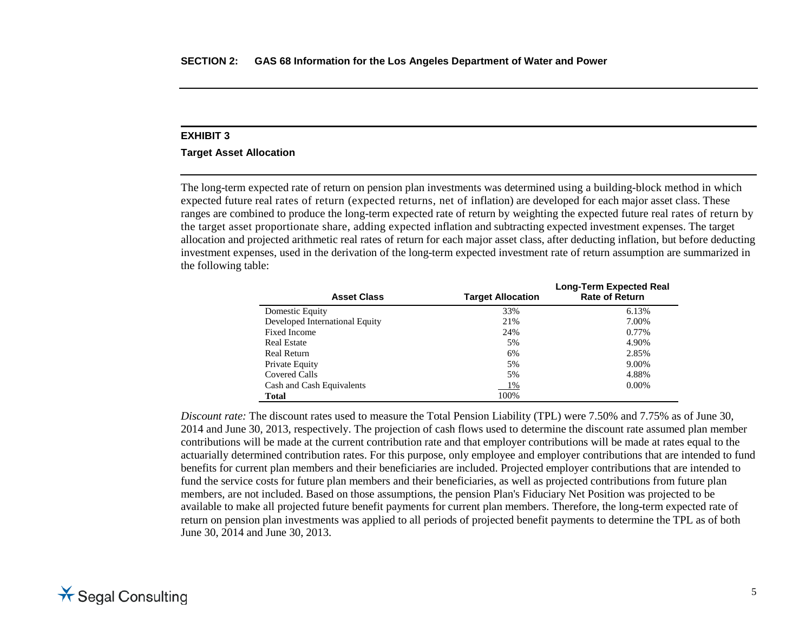#### **Target Asset Allocation**

The long-term expected rate of return on pension plan investments was determined using a building-block method in which expected future real rates of return (expected returns, net of inflation) are developed for each major asset class. These ranges are combined to produce the long-term expected rate of return by weighting the expected future real rates of return by the target asset proportionate share, adding expected inflation and subtracting expected investment expenses. The target allocation and projected arithmetic real rates of return for each major asset class, after deducting inflation, but before deducting investment expenses, used in the derivation of the long-term expected investment rate of return assumption are summarized in the following table:

| <b>Asset Class</b>             | <b>Target Allocation</b> | <b>Long-Term Expected Real</b><br><b>Rate of Return</b> |
|--------------------------------|--------------------------|---------------------------------------------------------|
| Domestic Equity                | 33%                      | 6.13%                                                   |
| Developed International Equity | 21%                      | 7.00%                                                   |
| <b>Fixed Income</b>            | 24%                      | 0.77%                                                   |
| <b>Real Estate</b>             | 5%                       | 4.90%                                                   |
| Real Return                    | 6%                       | 2.85%                                                   |
| Private Equity                 | 5%                       | 9.00%                                                   |
| Covered Calls                  | 5%                       | 4.88%                                                   |
| Cash and Cash Equivalents      | 1%                       | $0.00\%$                                                |
| <b>Total</b>                   | 100%                     |                                                         |

*Discount rate:* The discount rates used to measure the Total Pension Liability (TPL) were 7.50% and 7.75% as of June 30, 2014 and June 30, 2013, respectively. The projection of cash flows used to determine the discount rate assumed plan member contributions will be made at the current contribution rate and that employer contributions will be made at rates equal to the actuarially determined contribution rates. For this purpose, only employee and employer contributions that are intended to fund benefits for current plan members and their beneficiaries are included. Projected employer contributions that are intended to fund the service costs for future plan members and their beneficiaries, as well as projected contributions from future plan members, are not included. Based on those assumptions, the pension Plan's Fiduciary Net Position was projected to be available to make all projected future benefit payments for current plan members. Therefore, the long-term expected rate of return on pension plan investments was applied to all periods of projected benefit payments to determine the TPL as of both June 30, 2014 and June 30, 2013.

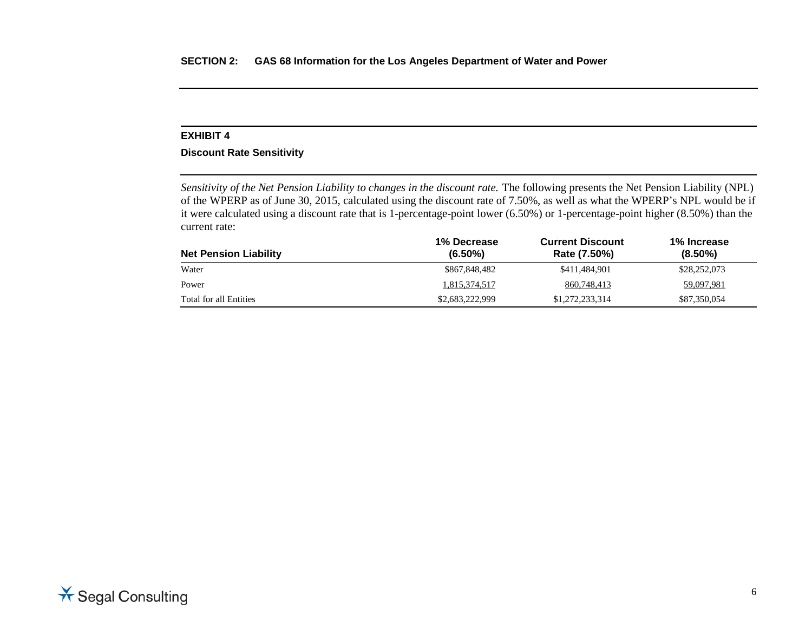## **Discount Rate Sensitivity**

*Sensitivity of the Net Pension Liability to changes in the discount rate.* The following presents the Net Pension Liability (NPL) of the WPERP as of June 30, 2015, calculated using the discount rate of 7.50%, as well as what the WPERP's NPL would be if it were calculated using a discount rate that is 1-percentage-point lower (6.50%) or 1-percentage-point higher (8.50%) than the current rate:

| <b>Net Pension Liability</b> | 1% Decrease<br>$(6.50\%)$ | <b>Current Discount</b><br>Rate (7.50%) | 1% Increase<br>$(8.50\%)$ |
|------------------------------|---------------------------|-----------------------------------------|---------------------------|
| Water                        | \$867,848,482             | \$411.484.901                           | \$28,252,073              |
| Power                        | 1,815,374,517             | 860,748,413                             | 59,097,981                |
| Total for all Entities       | \$2,683,222,999           | \$1,272,233,314                         | \$87,350,054              |

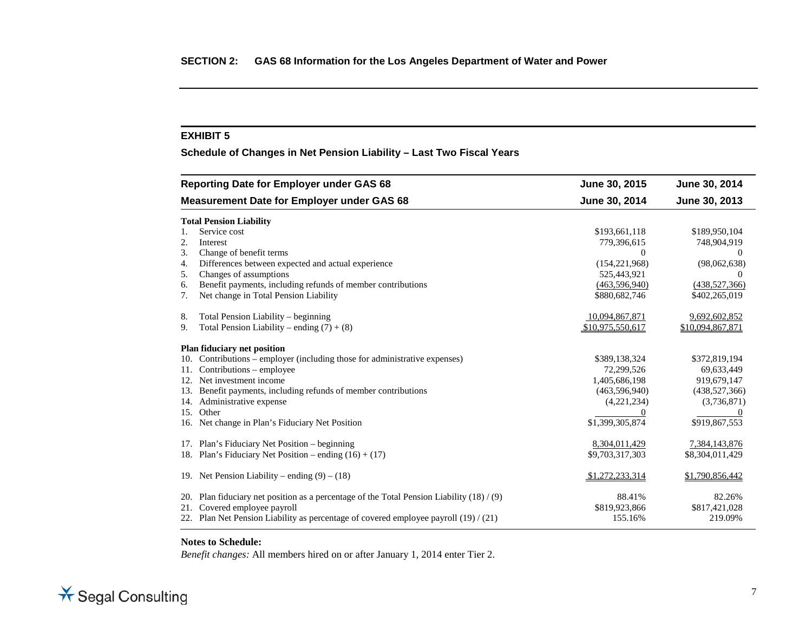**Schedule of Changes in Net Pension Liability – Last Two Fiscal Years**

| <b>Reporting Date for Employer under GAS 68</b>                                                | June 30, 2015    | June 30, 2014    |
|------------------------------------------------------------------------------------------------|------------------|------------------|
| <b>Measurement Date for Employer under GAS 68</b>                                              | June 30, 2014    | June 30, 2013    |
| <b>Total Pension Liability</b>                                                                 |                  |                  |
| Service cost                                                                                   | \$193,661,118    | \$189,950,104    |
| 2.<br>Interest                                                                                 | 779,396,615      | 748,904,919      |
| Change of benefit terms<br>3.                                                                  | $\Omega$         | $\Omega$         |
| Differences between expected and actual experience<br>4.                                       | (154, 221, 968)  | (98,062,638)     |
| Changes of assumptions<br>5.                                                                   | 525,443,921      | 0                |
| Benefit payments, including refunds of member contributions<br>6.                              | (463, 596, 940)  | (438,527,366)    |
| Net change in Total Pension Liability<br>7.                                                    | \$880,682,746    | \$402,265,019    |
| Total Pension Liability – beginning<br>8.                                                      | 10,094,867,871   | 9,692,602,852    |
| Total Pension Liability – ending $(7) + (8)$<br>9.                                             | \$10,975,550,617 | \$10,094,867,871 |
| Plan fiduciary net position                                                                    |                  |                  |
| Contributions – employer (including those for administrative expenses)<br>10.                  | \$389,138,324    | \$372,819,194    |
| Contributions – employee<br>11.                                                                | 72,299,526       | 69,633,449       |
| Net investment income<br>12.                                                                   | 1,405,686,198    | 919,679,147      |
| Benefit payments, including refunds of member contributions<br>13.                             | (463, 596, 940)  | (438, 527, 366)  |
| 14. Administrative expense                                                                     | (4,221,234)      | (3,736,871)      |
| Other<br>15.                                                                                   |                  |                  |
| Net change in Plan's Fiduciary Net Position<br>16.                                             | \$1,399,305,874  | \$919,867,553    |
| Plan's Fiduciary Net Position – beginning<br>17.                                               | 8,304,011,429    | 7,384,143,876    |
| Plan's Fiduciary Net Position – ending $(16) + (17)$<br>18.                                    | \$9,703,317,303  | \$8,304,011,429  |
| 19. Net Pension Liability – ending $(9) - (18)$                                                | \$1,272,233,314  | \$1,790,856,442  |
| Plan fiduciary net position as a percentage of the Total Pension Liability $(18) / (9)$<br>20. | 88.41%           | 82.26%           |
| Covered employee payroll<br>21.                                                                | \$819,923,866    | \$817,421,028    |
| 22. Plan Net Pension Liability as percentage of covered employee payroll (19) / (21)           | 155.16%          | 219.09%          |

#### **Notes to Schedule:**

*Benefit changes:* All members hired on or after January 1, 2014 enter Tier 2.

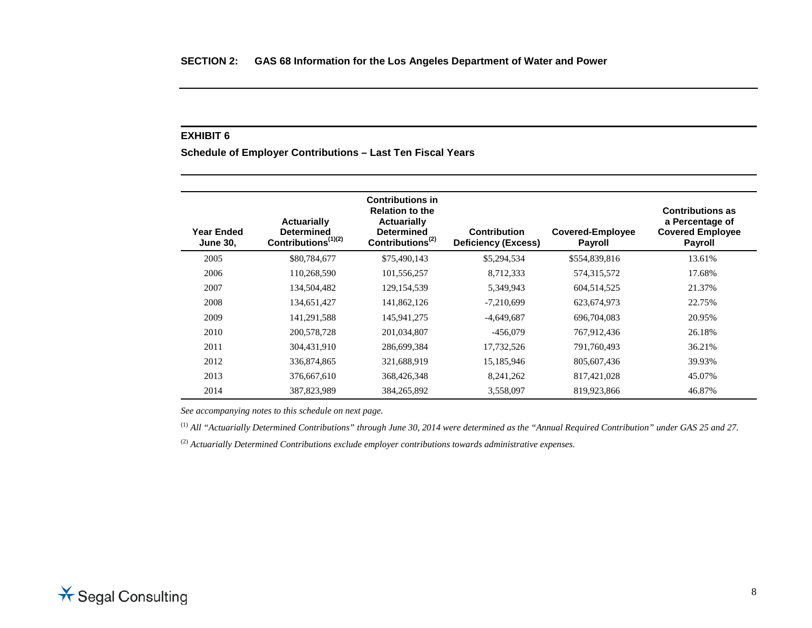**Schedule of Employer Contributions – Last Ten Fiscal Years**

| <b>Year Ended</b><br><b>June 30,</b> | <b>Actuarially</b><br><b>Determined</b><br>Contributions <sup>(1)(2)</sup> | <b>Contributions in</b><br><b>Relation to the</b><br><b>Actuarially</b><br><b>Determined</b><br>Contributions <sup><math>(2)</math></sup> | <b>Contribution</b><br><b>Deficiency (Excess)</b> | <b>Covered-Employee</b><br><b>Payroll</b> | <b>Contributions as</b><br>a Percentage of<br><b>Covered Employee</b><br><b>Payroll</b> |
|--------------------------------------|----------------------------------------------------------------------------|-------------------------------------------------------------------------------------------------------------------------------------------|---------------------------------------------------|-------------------------------------------|-----------------------------------------------------------------------------------------|
| 2005                                 | \$80,784,677                                                               | \$75,490,143                                                                                                                              | \$5,294,534                                       | \$554,839,816                             | 13.61%                                                                                  |
| 2006                                 | 110,268,590                                                                | 101,556,257                                                                                                                               | 8,712,333                                         | 574,315,572                               | 17.68%                                                                                  |
| 2007                                 | 134,504,482                                                                | 129, 154, 539                                                                                                                             | 5,349,943                                         | 604,514,525                               | 21.37%                                                                                  |
| 2008                                 | 134,651,427                                                                | 141,862,126                                                                                                                               | $-7,210,699$                                      | 623, 674, 973                             | 22.75%                                                                                  |
| 2009                                 | 141,291,588                                                                | 145,941,275                                                                                                                               | $-4,649,687$                                      | 696,704,083                               | 20.95%                                                                                  |
| 2010                                 | 200,578,728                                                                | 201,034,807                                                                                                                               | $-456,079$                                        | 767,912,436                               | 26.18%                                                                                  |
| 2011                                 | 304,431,910                                                                | 286,699,384                                                                                                                               | 17,732,526                                        | 791,760,493                               | 36.21%                                                                                  |
| 2012                                 | 336,874,865                                                                | 321,688,919                                                                                                                               | 15,185,946                                        | 805,607,436                               | 39.93%                                                                                  |
| 2013                                 | 376,667,610                                                                | 368,426,348                                                                                                                               | 8, 241, 262                                       | 817,421,028                               | 45.07%                                                                                  |
| 2014                                 | 387,823,989                                                                | 384, 265, 892                                                                                                                             | 3,558,097                                         | 819,923,866                               | 46.87%                                                                                  |

*See accompanying notes to this schedule on next page.*

(1) *All "Actuarially Determined Contributions" through June 30, 2014 were determined as the "Annual Required Contribution" under GAS 25 and 27.*

(2) *Actuarially Determined Contributions exclude employer contributions towards administrative expenses.*

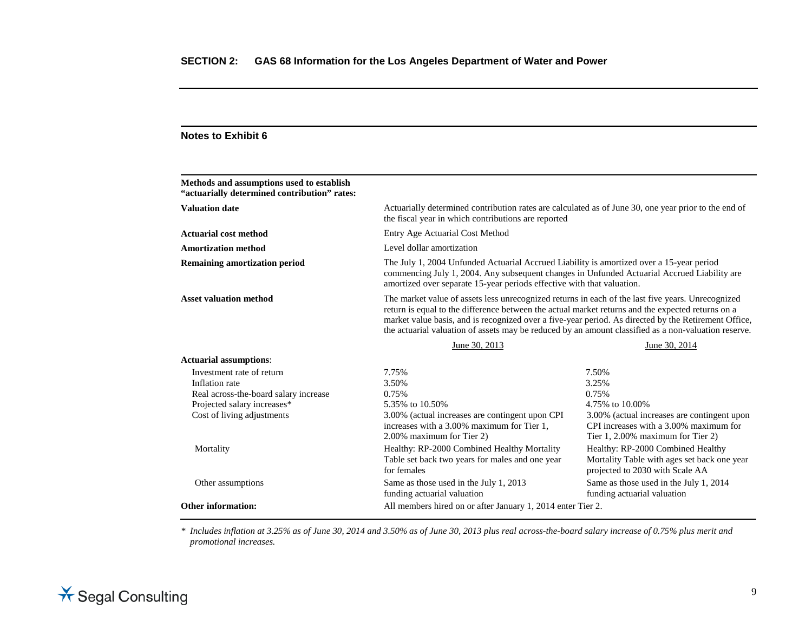## **Notes to Exhibit 6**

| Methods and assumptions used to establish<br>"actuarially determined contribution" rates: |                                                                                                                                                                                                                                                                                                                                                                                                                        |                                                                                                                            |  |
|-------------------------------------------------------------------------------------------|------------------------------------------------------------------------------------------------------------------------------------------------------------------------------------------------------------------------------------------------------------------------------------------------------------------------------------------------------------------------------------------------------------------------|----------------------------------------------------------------------------------------------------------------------------|--|
| <b>Valuation date</b>                                                                     | Actuarially determined contribution rates are calculated as of June 30, one year prior to the end of<br>the fiscal year in which contributions are reported                                                                                                                                                                                                                                                            |                                                                                                                            |  |
| <b>Actuarial cost method</b>                                                              | Entry Age Actuarial Cost Method                                                                                                                                                                                                                                                                                                                                                                                        |                                                                                                                            |  |
| <b>Amortization method</b>                                                                | Level dollar amortization                                                                                                                                                                                                                                                                                                                                                                                              |                                                                                                                            |  |
| <b>Remaining amortization period</b>                                                      | The July 1, 2004 Unfunded Actuarial Accrued Liability is amortized over a 15-year period<br>commencing July 1, 2004. Any subsequent changes in Unfunded Actuarial Accrued Liability are<br>amortized over separate 15-year periods effective with that valuation.                                                                                                                                                      |                                                                                                                            |  |
| <b>Asset valuation method</b>                                                             | The market value of assets less unrecognized returns in each of the last five years. Unrecognized<br>return is equal to the difference between the actual market returns and the expected returns on a<br>market value basis, and is recognized over a five-year period. As directed by the Retirement Office,<br>the actuarial valuation of assets may be reduced by an amount classified as a non-valuation reserve. |                                                                                                                            |  |
|                                                                                           | June 30, 2013                                                                                                                                                                                                                                                                                                                                                                                                          | June 30, 2014                                                                                                              |  |
| <b>Actuarial assumptions:</b>                                                             |                                                                                                                                                                                                                                                                                                                                                                                                                        |                                                                                                                            |  |
| Investment rate of return                                                                 | 7.75%                                                                                                                                                                                                                                                                                                                                                                                                                  | 7.50%                                                                                                                      |  |
| Inflation rate                                                                            | 3.50%                                                                                                                                                                                                                                                                                                                                                                                                                  | 3.25%                                                                                                                      |  |
| Real across-the-board salary increase                                                     | 0.75%                                                                                                                                                                                                                                                                                                                                                                                                                  | 0.75%                                                                                                                      |  |
| Projected salary increases*                                                               | 5.35% to 10.50%                                                                                                                                                                                                                                                                                                                                                                                                        | 4.75% to 10.00%                                                                                                            |  |
| Cost of living adjustments                                                                | 3.00% (actual increases are contingent upon CPI<br>increases with a 3.00% maximum for Tier 1,<br>2.00% maximum for Tier 2)                                                                                                                                                                                                                                                                                             | 3.00% (actual increases are contingent upon<br>CPI increases with a 3.00% maximum for<br>Tier 1, 2.00% maximum for Tier 2) |  |
| Mortality                                                                                 | Healthy: RP-2000 Combined Healthy Mortality<br>Table set back two years for males and one year<br>for females                                                                                                                                                                                                                                                                                                          | Healthy: RP-2000 Combined Healthy<br>Mortality Table with ages set back one year<br>projected to 2030 with Scale AA        |  |
| Other assumptions                                                                         | Same as those used in the July 1, 2013<br>funding actuarial valuation                                                                                                                                                                                                                                                                                                                                                  | Same as those used in the July 1, 2014<br>funding actuarial valuation                                                      |  |
| <b>Other information:</b>                                                                 | All members hired on or after January 1, 2014 enter Tier 2.                                                                                                                                                                                                                                                                                                                                                            |                                                                                                                            |  |

*\* Includes inflation at 3.25% as of June 30, 2014 and 3.50% as of June 30, 2013 plus real across-the-board salary increase of 0.75% plus merit and promotional increases.*

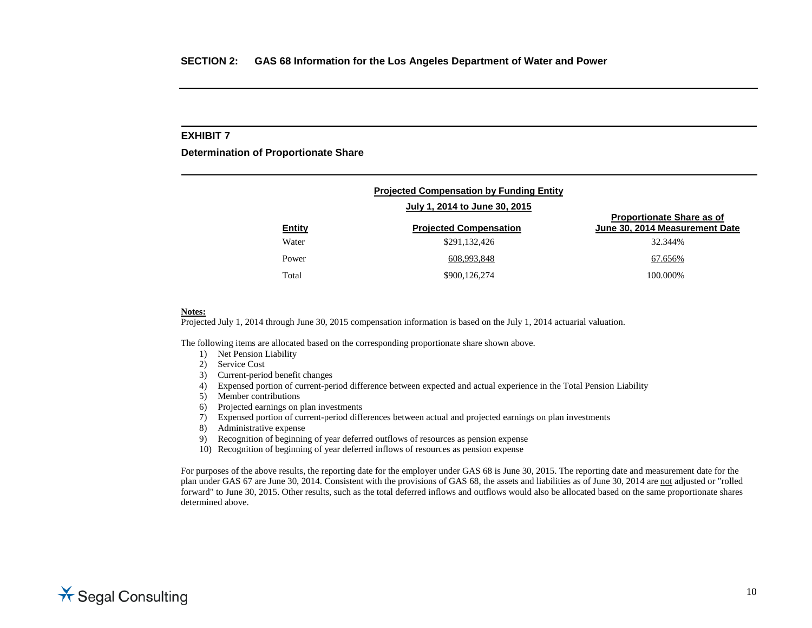**Determination of Proportionate Share**

|               | <b>Projected Compensation by Funding Entity</b> |                                                                    |
|---------------|-------------------------------------------------|--------------------------------------------------------------------|
|               | July 1, 2014 to June 30, 2015                   |                                                                    |
| <b>Entity</b> | <b>Projected Compensation</b>                   | <b>Proportionate Share as of</b><br>June 30, 2014 Measurement Date |
| Water         | \$291,132,426                                   | 32.344%                                                            |
| Power         | 608,993,848                                     | 67.656%                                                            |
| Total         | \$900,126,274                                   | 100.000\%                                                          |

#### **Notes:**

Projected July 1, 2014 through June 30, 2015 compensation information is based on the July 1, 2014 actuarial valuation.

The following items are allocated based on the corresponding proportionate share shown above.

- 1) Net Pension Liability
- 2) Service Cost
- 3) Current-period benefit changes
- 4) Expensed portion of current-period difference between expected and actual experience in the Total Pension Liability
- 5) Member contributions
- 6) Projected earnings on plan investments
- 7) Expensed portion of current-period differences between actual and projected earnings on plan investments
- 8) Administrative expense
- 9) Recognition of beginning of year deferred outflows of resources as pension expense
- 10) Recognition of beginning of year deferred inflows of resources as pension expense

For purposes of the above results, the reporting date for the employer under GAS 68 is June 30, 2015. The reporting date and measurement date for the plan under GAS 67 are June 30, 2014. Consistent with the provisions of GAS 68, the assets and liabilities as of June 30, 2014 are not adjusted or "rolled forward" to June 30, 2015. Other results, such as the total deferred inflows and outflows would also be allocated based on the same proportionate shares determined above.

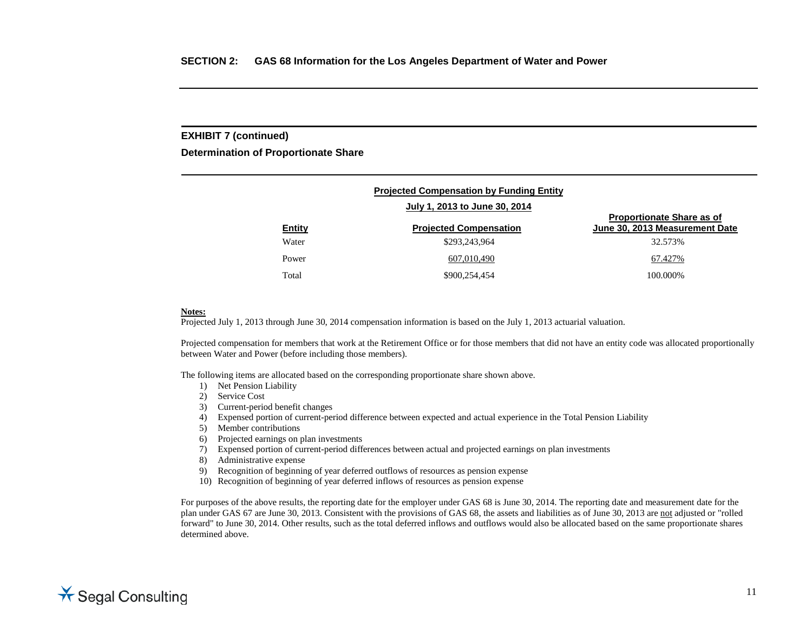#### **EXHIBIT 7 (continued)**

**Determination of Proportionate Share**

| <b>Projected Compensation by Funding Entity</b> |                                                                |                                                                    |  |  |  |
|-------------------------------------------------|----------------------------------------------------------------|--------------------------------------------------------------------|--|--|--|
| <b>Entity</b>                                   | July 1, 2013 to June 30, 2014<br><b>Projected Compensation</b> | <b>Proportionate Share as of</b><br>June 30, 2013 Measurement Date |  |  |  |
| Water                                           | \$293,243,964                                                  | 32.573%                                                            |  |  |  |
| Power                                           | 607,010,490                                                    | 67.427%                                                            |  |  |  |
| Total                                           | \$900,254,454                                                  | 100.000%                                                           |  |  |  |

#### **Notes:**

Projected July 1, 2013 through June 30, 2014 compensation information is based on the July 1, 2013 actuarial valuation.

Projected compensation for members that work at the Retirement Office or for those members that did not have an entity code was allocated proportionally between Water and Power (before including those members).

The following items are allocated based on the corresponding proportionate share shown above.

- 1) Net Pension Liability
- 2) Service Cost
- 3) Current-period benefit changes
- 4) Expensed portion of current-period difference between expected and actual experience in the Total Pension Liability
- 5) Member contributions
- 6) Projected earnings on plan investments
- 7) Expensed portion of current-period differences between actual and projected earnings on plan investments
- 8) Administrative expense
- 9) Recognition of beginning of year deferred outflows of resources as pension expense
- 10) Recognition of beginning of year deferred inflows of resources as pension expense

For purposes of the above results, the reporting date for the employer under GAS 68 is June 30, 2014. The reporting date and measurement date for the plan under GAS 67 are June 30, 2013. Consistent with the provisions of GAS 68, the assets and liabilities as of June 30, 2013 are not adjusted or "rolled forward" to June 30, 2014. Other results, such as the total deferred inflows and outflows would also be allocated based on the same proportionate shares determined above.

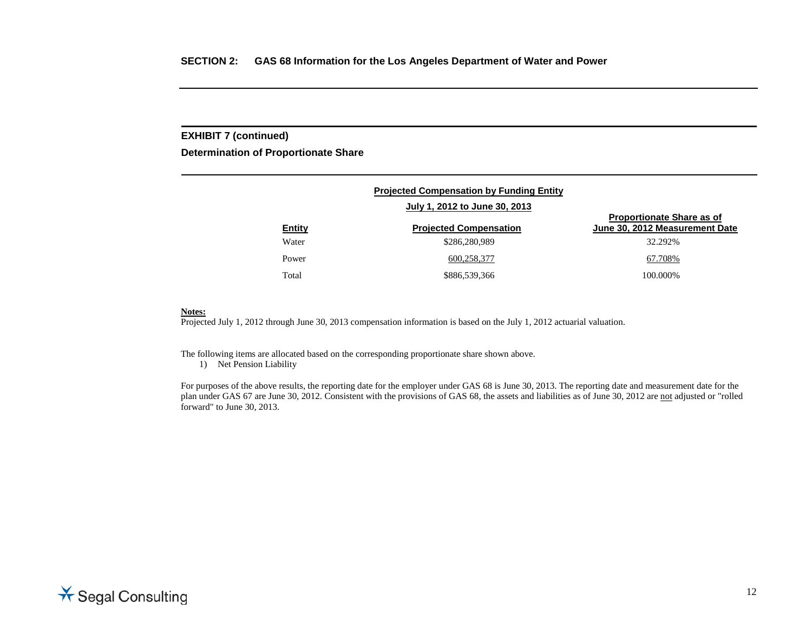## **EXHIBIT 7 (continued)**

**Determination of Proportionate Share**

| <b>Projected Compensation by Funding Entity</b> |                               |                                                                    |  |  |  |
|-------------------------------------------------|-------------------------------|--------------------------------------------------------------------|--|--|--|
|                                                 | July 1, 2012 to June 30, 2013 |                                                                    |  |  |  |
| <b>Entity</b>                                   | <b>Projected Compensation</b> | <b>Proportionate Share as of</b><br>June 30, 2012 Measurement Date |  |  |  |
| Water                                           | \$286,280,989                 | 32.292%                                                            |  |  |  |
| Power                                           | 600,258,377                   | 67.708%                                                            |  |  |  |
| Total                                           | \$886,539,366                 | 100.000%                                                           |  |  |  |

#### **Notes:**

Projected July 1, 2012 through June 30, 2013 compensation information is based on the July 1, 2012 actuarial valuation.

The following items are allocated based on the corresponding proportionate share shown above.

1) Net Pension Liability

For purposes of the above results, the reporting date for the employer under GAS 68 is June 30, 2013. The reporting date and measurement date for the plan under GAS 67 are June 30, 2012. Consistent with the provisions of GAS 68, the assets and liabilities as of June 30, 2012 are not adjusted or "rolled forward" to June 30, 2013.

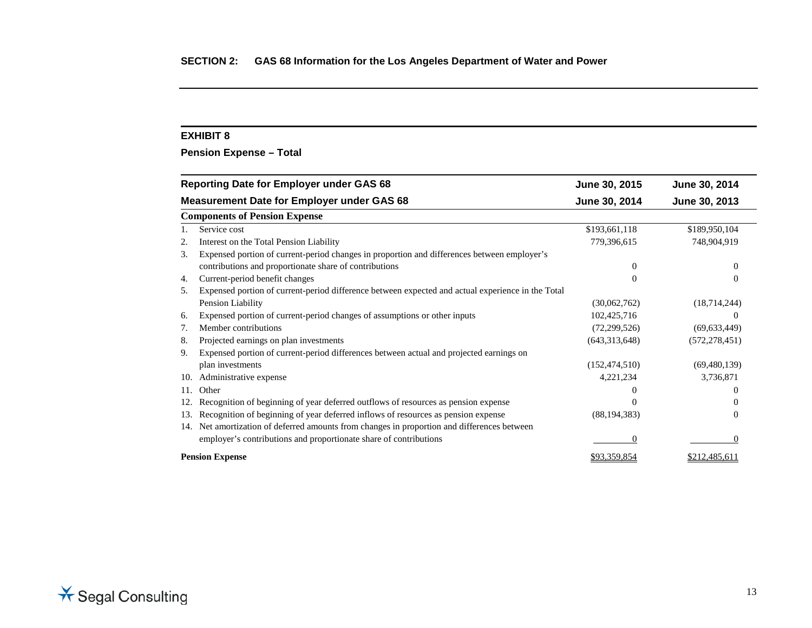**Pension Expense – Total**

| <b>Reporting Date for Employer under GAS 68</b>                                                         | June 30, 2015   | June 30, 2014   |
|---------------------------------------------------------------------------------------------------------|-----------------|-----------------|
| <b>Measurement Date for Employer under GAS 68</b>                                                       | June 30, 2014   | June 30, 2013   |
| <b>Components of Pension Expense</b>                                                                    |                 |                 |
| Service cost                                                                                            | \$193,661,118   | \$189,950,104   |
| Interest on the Total Pension Liability                                                                 | 779,396,615     | 748,904,919     |
| Expensed portion of current-period changes in proportion and differences between employer's<br>3.       |                 |                 |
| contributions and proportionate share of contributions                                                  | $\Omega$        |                 |
| Current-period benefit changes<br>4.                                                                    | $\theta$        | $\theta$        |
| Expensed portion of current-period difference between expected and actual experience in the Total<br>5. |                 |                 |
| Pension Liability                                                                                       | (30,062,762)    | (18,714,244)    |
| Expensed portion of current-period changes of assumptions or other inputs<br>6.                         | 102,425,716     | $\theta$        |
| Member contributions<br>7.                                                                              | (72,299,526)    | (69, 633, 449)  |
| Projected earnings on plan investments<br>8.                                                            | (643, 313, 648) | (572, 278, 451) |
| Expensed portion of current-period differences between actual and projected earnings on<br>9.           |                 |                 |
| plan investments                                                                                        | (152, 474, 510) | (69, 480, 139)  |
| Administrative expense<br>10.                                                                           | 4,221,234       | 3,736,871       |
| Other<br>11.                                                                                            |                 |                 |
| Recognition of beginning of year deferred outflows of resources as pension expense<br>12.               |                 |                 |
| Recognition of beginning of year deferred inflows of resources as pension expense<br>13.                | (88, 194, 383)  |                 |
| Net amortization of deferred amounts from changes in proportion and differences between<br>14.          |                 |                 |
| employer's contributions and proportionate share of contributions                                       | $\Omega$        |                 |
| <b>Pension Expense</b>                                                                                  | \$93,359,854    | \$212,485,611   |

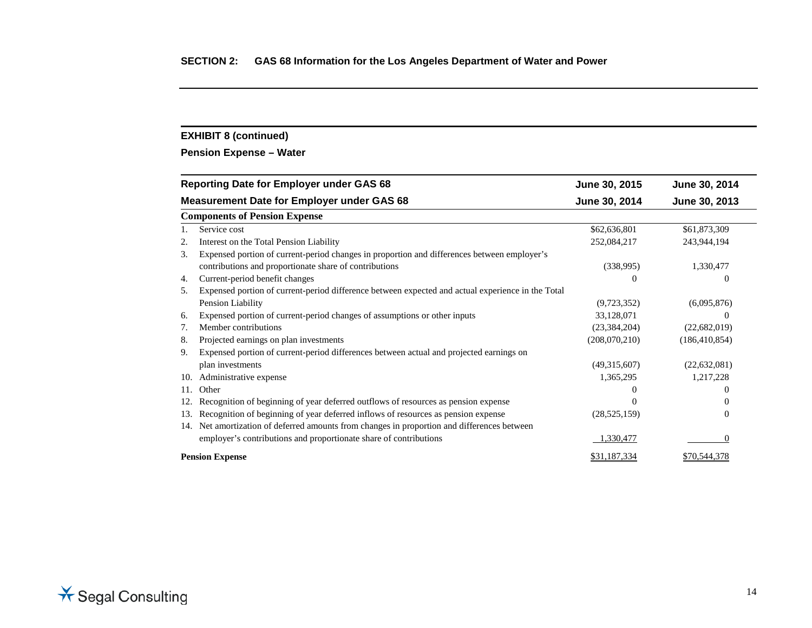## **EXHIBIT 8 (continued)**

**Pension Expense – Water** 

|     | <b>Reporting Date for Employer under GAS 68</b>                                                   | June 30, 2015  | June 30, 2014   |
|-----|---------------------------------------------------------------------------------------------------|----------------|-----------------|
|     | <b>Measurement Date for Employer under GAS 68</b>                                                 | June 30, 2014  | June 30, 2013   |
|     | <b>Components of Pension Expense</b>                                                              |                |                 |
|     | Service cost                                                                                      | \$62,636,801   | \$61,873,309    |
| 2.  | Interest on the Total Pension Liability                                                           | 252,084,217    | 243,944,194     |
| 3.  | Expensed portion of current-period changes in proportion and differences between employer's       |                |                 |
|     | contributions and proportionate share of contributions                                            | (338,995)      | 1,330,477       |
| 4.  | Current-period benefit changes                                                                    | $\Omega$       | $\Omega$        |
| 5.  | Expensed portion of current-period difference between expected and actual experience in the Total |                |                 |
|     | Pension Liability                                                                                 | (9,723,352)    | (6,095,876)     |
| 6.  | Expensed portion of current-period changes of assumptions or other inputs                         | 33,128,071     | 0               |
| 7.  | Member contributions                                                                              | (23, 384, 204) | (22,682,019)    |
| 8.  | Projected earnings on plan investments                                                            | (208,070,210)  | (186, 410, 854) |
| 9.  | Expensed portion of current-period differences between actual and projected earnings on           |                |                 |
|     | plan investments                                                                                  | (49,315,607)   | (22, 632, 081)  |
| 10. | Administrative expense                                                                            | 1,365,295      | 1,217,228       |
| 11. | Other                                                                                             |                | $\theta$        |
| 12. | Recognition of beginning of year deferred outflows of resources as pension expense                |                | $\theta$        |
| 13. | Recognition of beginning of year deferred inflows of resources as pension expense                 | (28, 525, 159) | $\overline{0}$  |
| 14. | Net amortization of deferred amounts from changes in proportion and differences between           |                |                 |
|     | employer's contributions and proportionate share of contributions                                 | 1,330,477      | $\Omega$        |
|     | <b>Pension Expense</b>                                                                            | \$31,187,334   | \$70,544,378    |

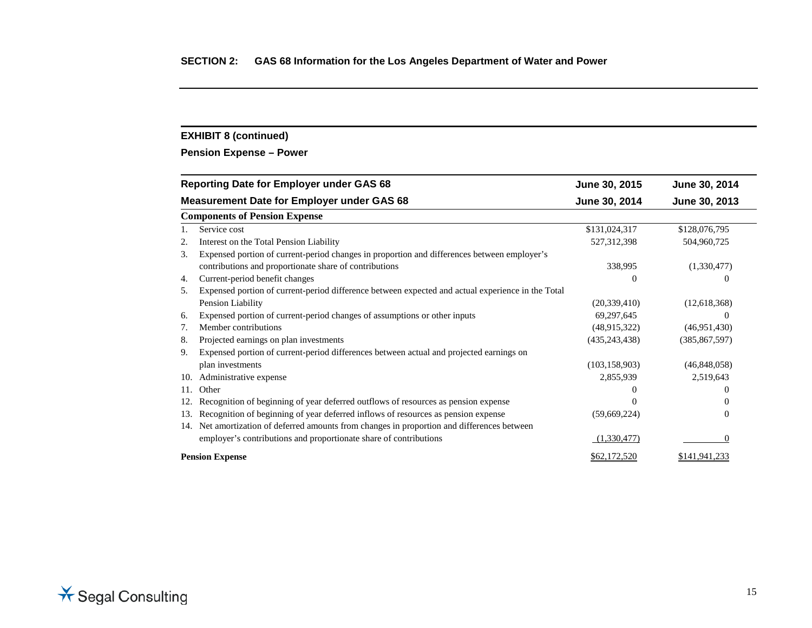## **EXHIBIT 8 (continued)**

**Pension Expense – Power**

| <b>Reporting Date for Employer under GAS 68</b>                                                         | June 30, 2015   | June 30, 2014   |
|---------------------------------------------------------------------------------------------------------|-----------------|-----------------|
| <b>Measurement Date for Employer under GAS 68</b>                                                       | June 30, 2014   | June 30, 2013   |
| <b>Components of Pension Expense</b>                                                                    |                 |                 |
| Service cost                                                                                            | \$131,024,317   | \$128,076,795   |
| Interest on the Total Pension Liability                                                                 | 527, 312, 398   | 504,960,725     |
| Expensed portion of current-period changes in proportion and differences between employer's<br>3.       |                 |                 |
| contributions and proportionate share of contributions                                                  | 338,995         | (1,330,477)     |
| Current-period benefit changes<br>4.                                                                    | $\Omega$        | $\Omega$        |
| Expensed portion of current-period difference between expected and actual experience in the Total<br>5. |                 |                 |
| Pension Liability                                                                                       | (20, 339, 410)  | (12,618,368)    |
| Expensed portion of current-period changes of assumptions or other inputs<br>6.                         | 69,297,645      |                 |
| Member contributions<br>7.                                                                              | (48,915,322)    | (46,951,430)    |
| Projected earnings on plan investments<br>8.                                                            | (435, 243, 438) | (385, 867, 597) |
| Expensed portion of current-period differences between actual and projected earnings on<br>9.           |                 |                 |
| plan investments                                                                                        | (103, 158, 903) | (46,848,058)    |
| Administrative expense<br>10.                                                                           | 2,855,939       | 2,519,643       |
| Other<br>11.                                                                                            |                 | $\theta$        |
| Recognition of beginning of year deferred outflows of resources as pension expense<br>12.               |                 | $\theta$        |
| Recognition of beginning of year deferred inflows of resources as pension expense<br>13.                | (59,669,224)    | $\Omega$        |
| 14. Net amortization of deferred amounts from changes in proportion and differences between             |                 |                 |
| employer's contributions and proportionate share of contributions                                       | (1,330,477)     | $\Omega$        |
| <b>Pension Expense</b>                                                                                  | \$62,172,520    | \$141,941,233   |

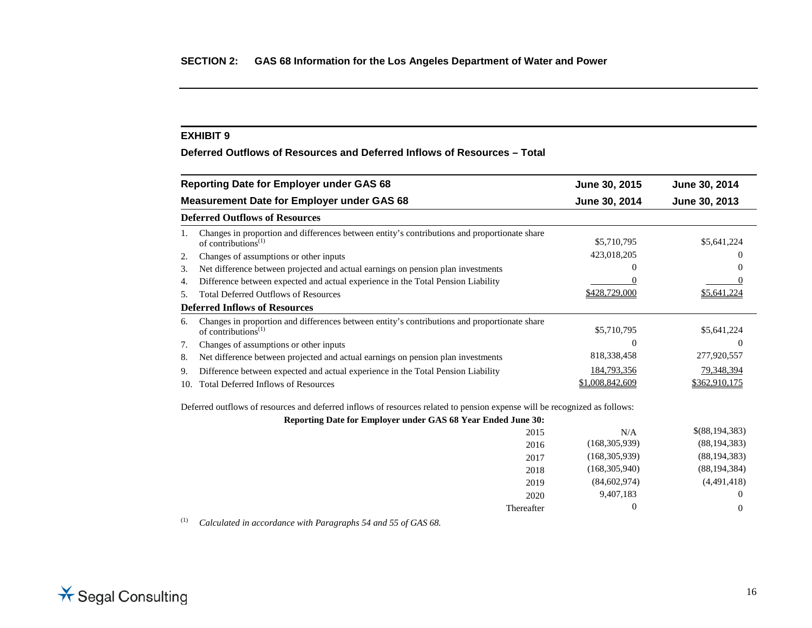**Deferred Outflows of Resources and Deferred Inflows of Resources – Total**

|     | <b>Reporting Date for Employer under GAS 68</b>                                                                                              | June 30, 2015   | June 30, 2014  |
|-----|----------------------------------------------------------------------------------------------------------------------------------------------|-----------------|----------------|
|     | <b>Measurement Date for Employer under GAS 68</b>                                                                                            | June 30, 2014   | June 30, 2013  |
|     | <b>Deferred Outflows of Resources</b>                                                                                                        |                 |                |
| 1.  | Changes in proportion and differences between entity's contributions and proportionate share<br>of contributions <sup>(1)</sup>              | \$5,710,795     | \$5,641,224    |
| 2.  | Changes of assumptions or other inputs                                                                                                       | 423,018,205     |                |
| 3.  | Net difference between projected and actual earnings on pension plan investments                                                             |                 |                |
| 4.  | Difference between expected and actual experience in the Total Pension Liability                                                             |                 |                |
| 5.  | <b>Total Deferred Outflows of Resources</b>                                                                                                  | \$428,729,000   | \$5,641,224    |
|     | <b>Deferred Inflows of Resources</b>                                                                                                         |                 |                |
| 6.  | Changes in proportion and differences between entity's contributions and proportionate share<br>of contributions <sup><math>(1)</math></sup> | \$5,710,795     | \$5,641,224    |
| 7.  | Changes of assumptions or other inputs                                                                                                       | $\Omega$        | $\theta$       |
| 8.  | Net difference between projected and actual earnings on pension plan investments                                                             | 818, 338, 458   | 277,920,557    |
| 9.  | Difference between expected and actual experience in the Total Pension Liability                                                             | 184,793,356     | 79,348,394     |
| 10. | <b>Total Deferred Inflows of Resources</b>                                                                                                   | \$1,008,842,609 | \$362,910,175  |
|     | Deferred outflows of resources and deferred inflows of resources related to pension expense will be recognized as follows:                   |                 |                |
|     | Reporting Date for Employer under GAS 68 Year Ended June 30:                                                                                 |                 |                |
|     | 2015                                                                                                                                         | N/A             | \$(88,194,383) |
|     | 2016                                                                                                                                         | (168, 305, 939) | (88, 194, 383) |

| 2015       | N/A             | \$(88,194,383) |
|------------|-----------------|----------------|
| 2016       | (168, 305, 939) | (88, 194, 383) |
| 2017       | (168, 305, 939) | (88, 194, 383) |
| 2018       | (168, 305, 940) | (88, 194, 384) |
| 2019       | (84,602,974)    | (4,491,418)    |
| 2020       | 9,407,183       | $\theta$       |
| Thereafter |                 | $\theta$       |

(1) *Calculated in accordance with Paragraphs 54 and 55 of GAS 68.*

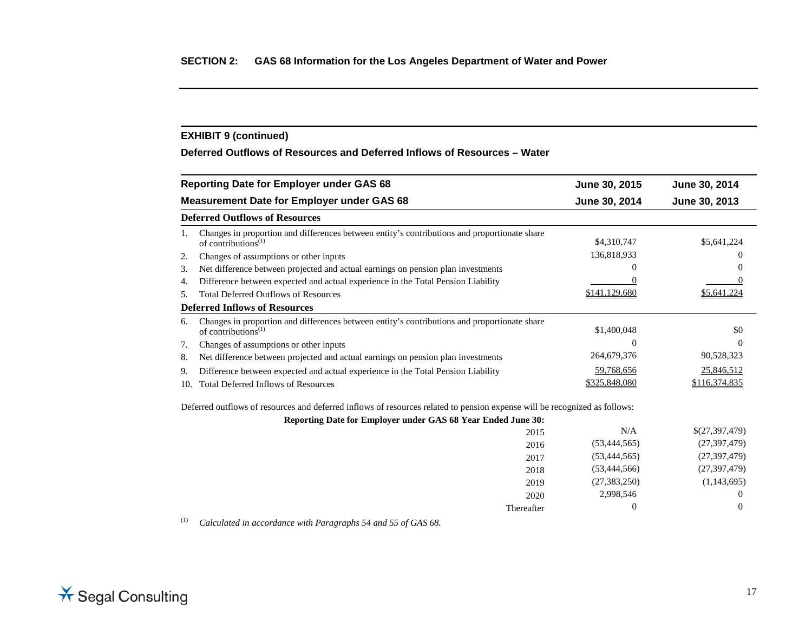## **EXHIBIT 9 (continued)**

**Deferred Outflows of Resources and Deferred Inflows of Resources – Water**

|     | <b>Reporting Date for Employer under GAS 68</b>                                                                            | June 30, 2015  | June 30, 2014  |
|-----|----------------------------------------------------------------------------------------------------------------------------|----------------|----------------|
|     | <b>Measurement Date for Employer under GAS 68</b>                                                                          | June 30, 2014  | June 30, 2013  |
|     | <b>Deferred Outflows of Resources</b>                                                                                      |                |                |
| 1.  | Changes in proportion and differences between entity's contributions and proportionate share<br>of contributions $^{(1)}$  | \$4,310,747    | \$5,641,224    |
| 2.  | Changes of assumptions or other inputs                                                                                     | 136,818,933    |                |
| 3.  | Net difference between projected and actual earnings on pension plan investments                                           | 0              |                |
| 4.  | Difference between expected and actual experience in the Total Pension Liability                                           |                |                |
| 5.  | <b>Total Deferred Outflows of Resources</b>                                                                                | \$141,129,680  | \$5,641,224    |
|     | <b>Deferred Inflows of Resources</b>                                                                                       |                |                |
| 6.  | Changes in proportion and differences between entity's contributions and proportionate share<br>of contributions $^{(1)}$  | \$1,400,048    | \$0            |
| 7.  | Changes of assumptions or other inputs                                                                                     | 0              | $\left($       |
| 8.  | Net difference between projected and actual earnings on pension plan investments                                           | 264,679,376    | 90,528,323     |
| 9.  | Difference between expected and actual experience in the Total Pension Liability                                           | 59,768,656     | 25,846,512     |
| 10. | <b>Total Deferred Inflows of Resources</b>                                                                                 | \$325,848,080  | \$116,374,835  |
|     | Deferred outflows of resources and deferred inflows of resources related to pension expense will be recognized as follows: |                |                |
|     | Reporting Date for Employer under GAS 68 Year Ended June 30:                                                               |                |                |
|     | 2015                                                                                                                       | N/A            | \$(27,397,479) |
|     | 2016                                                                                                                       | (53, 444, 565) | (27, 397, 479) |
|     | 2017                                                                                                                       | (53, 444, 565) | (27, 397, 479) |
|     | 2018                                                                                                                       | (53, 444, 566) | (27, 397, 479) |
|     | 2019                                                                                                                       | (27, 383, 250) | (1,143,695)    |

Thereafter

(1) *Calculated in accordance with Paragraphs 54 and 55 of GAS 68.*



2,998,546 0<br>
eafter 0 0 0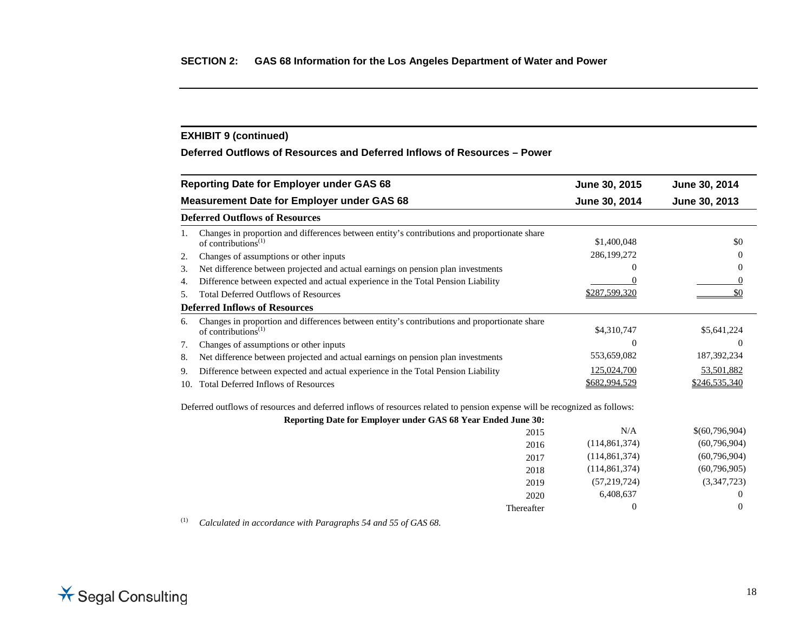## **EXHIBIT 9 (continued)**

**Deferred Outflows of Resources and Deferred Inflows of Resources – Power**

|     | <b>Reporting Date for Employer under GAS 68</b>                                                                            | June 30, 2015   | June 30, 2014  |
|-----|----------------------------------------------------------------------------------------------------------------------------|-----------------|----------------|
|     | <b>Measurement Date for Employer under GAS 68</b>                                                                          | June 30, 2014   | June 30, 2013  |
|     | <b>Deferred Outflows of Resources</b>                                                                                      |                 |                |
| 1.  | Changes in proportion and differences between entity's contributions and proportionate share<br>of contributions $^{(1)}$  | \$1,400,048     | \$0            |
| 2.  | Changes of assumptions or other inputs                                                                                     | 286,199,272     | $\theta$       |
| 3.  | Net difference between projected and actual earnings on pension plan investments                                           | 0               | $\Omega$       |
| 4.  | Difference between expected and actual experience in the Total Pension Liability                                           |                 | $\Omega$       |
| 5.  | <b>Total Deferred Outflows of Resources</b>                                                                                | \$287,599,320   | \$0            |
|     | <b>Deferred Inflows of Resources</b>                                                                                       |                 |                |
| 6.  | Changes in proportion and differences between entity's contributions and proportionate share<br>of contributions $^{(1)}$  | \$4,310,747     | \$5,641,224    |
| 7.  | Changes of assumptions or other inputs                                                                                     | 0               | $\Omega$       |
| 8.  | Net difference between projected and actual earnings on pension plan investments                                           | 553,659,082     | 187,392,234    |
| 9.  | Difference between expected and actual experience in the Total Pension Liability                                           | 125,024,700     | 53,501,882     |
| 10. | <b>Total Deferred Inflows of Resources</b>                                                                                 | \$682,994,529   | \$246,535,340  |
|     | Deferred outflows of resources and deferred inflows of resources related to pension expense will be recognized as follows: |                 |                |
|     | Reporting Date for Employer under GAS 68 Year Ended June 30:                                                               |                 |                |
|     | 2015                                                                                                                       | N/A             | \$(60,796,904) |
|     | 2016                                                                                                                       | (114, 861, 374) | (60,796,904)   |
|     | 2017                                                                                                                       | (114, 861, 374) | (60,796,904)   |
|     | 2018                                                                                                                       | (114, 861, 374) | (60,796,905)   |
|     | 2019                                                                                                                       | (57,219,724)    | (3,347,723)    |
|     | 2020                                                                                                                       | 6,408,637       |                |
|     | Thereafter                                                                                                                 | $\Omega$        | $\Omega$       |

(1) *Calculated in accordance with Paragraphs 54 and 55 of GAS 68.*



 $\begin{array}{cccccc} \text{Therefore} & & & 0 & & & 0 \end{array}$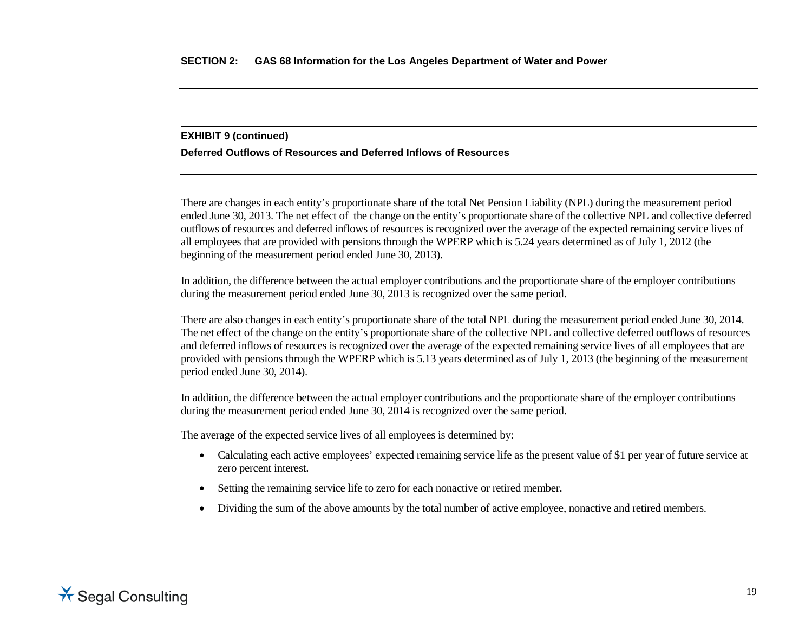#### **EXHIBIT 9 (continued)**

#### **Deferred Outflows of Resources and Deferred Inflows of Resources**

There are changes in each entity's proportionate share of the total Net Pension Liability (NPL) during the measurement period ended June 30, 2013. The net effect of the change on the entity's proportionate share of the collective NPL and collective deferred outflows of resources and deferred inflows of resources is recognized over the average of the expected remaining service lives of all employees that are provided with pensions through the WPERP which is 5.24 years determined as of July 1, 2012 (the beginning of the measurement period ended June 30, 2013).

In addition, the difference between the actual employer contributions and the proportionate share of the employer contributions during the measurement period ended June 30, 2013 is recognized over the same period.

There are also changes in each entity's proportionate share of the total NPL during the measurement period ended June 30, 2014. The net effect of the change on the entity's proportionate share of the collective NPL and collective deferred outflows of resources and deferred inflows of resources is recognized over the average of the expected remaining service lives of all employees that are provided with pensions through the WPERP which is 5.13 years determined as of July 1, 2013 (the beginning of the measurement period ended June 30, 2014).

In addition, the difference between the actual employer contributions and the proportionate share of the employer contributions during the measurement period ended June 30, 2014 is recognized over the same period.

The average of the expected service lives of all employees is determined by:

- Calculating each active employees' expected remaining service life as the present value of \$1 per year of future service at zero percent interest.
- Setting the remaining service life to zero for each nonactive or retired member.
- Dividing the sum of the above amounts by the total number of active employee, nonactive and retired members.

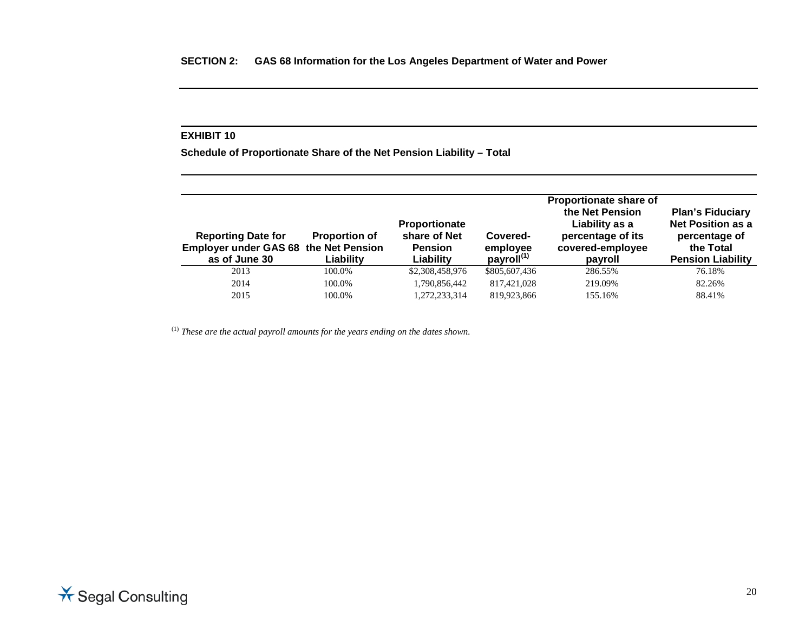**Schedule of Proportionate Share of the Net Pension Liability – Total**

| <b>Reporting Date for</b><br><b>Employer under GAS 68 the Net Pension</b> | <b>Proportion of</b> | <b>Proportionate</b><br>share of Net<br><b>Pension</b> | Covered-<br>employee   | Proportionate share of<br>the Net Pension<br>Liability as a<br>percentage of its<br>covered-employee | <b>Plan's Fiduciary</b><br><b>Net Position as a</b><br>percentage of<br>the Total |
|---------------------------------------------------------------------------|----------------------|--------------------------------------------------------|------------------------|------------------------------------------------------------------------------------------------------|-----------------------------------------------------------------------------------|
| as of June 30                                                             | Liability            | Liability                                              | payroll <sup>(1)</sup> | payroll                                                                                              | <b>Pension Liability</b>                                                          |
| 2013                                                                      | 100.0%               | \$2,308,458,976                                        | \$805,607,436          | 286.55%                                                                                              | 76.18%                                                                            |
| 2014                                                                      | 100.0%               | 1,790,856,442                                          | 817,421,028            | 219.09%                                                                                              | 82.26%                                                                            |
| 2015                                                                      | 100.0%               | 1,272,233,314                                          | 819.923.866            | 155.16%                                                                                              | 88.41%                                                                            |

(1) *These are the actual payroll amounts for the years ending on the dates shown.*

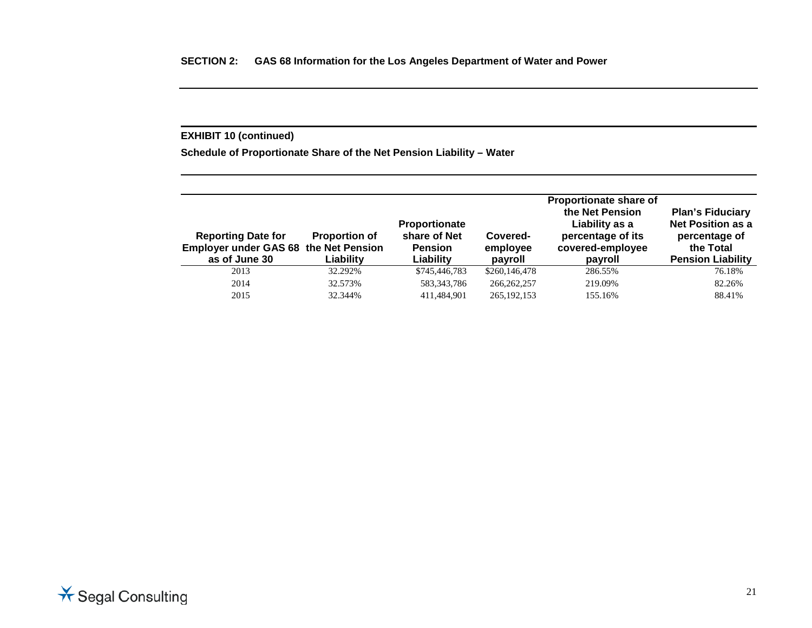## **EXHIBIT 10 (continued)**

**Schedule of Proportionate Share of the Net Pension Liability – Water** 

| <b>Reporting Date for</b><br><b>Employer under GAS 68 the Net Pension</b><br>as of June 30 | <b>Proportion of</b><br>Liabilitv | Proportionate<br>share of Net<br><b>Pension</b><br>Liability | Covered-<br>employee<br>payroll | Proportionate share of<br>the Net Pension<br>Liability as a<br>percentage of its<br>covered-employee<br>payroll | <b>Plan's Fiduciary</b><br><b>Net Position as a</b><br>percentage of<br>the Total<br><b>Pension Liability</b> |
|--------------------------------------------------------------------------------------------|-----------------------------------|--------------------------------------------------------------|---------------------------------|-----------------------------------------------------------------------------------------------------------------|---------------------------------------------------------------------------------------------------------------|
| 2013                                                                                       | 32.292%                           | \$745,446,783                                                | \$260,146,478                   | 286.55%                                                                                                         | 76.18%                                                                                                        |
| 2014                                                                                       | 32.573%                           | 583, 343, 786                                                | 266, 262, 257                   | 219.09%                                                                                                         | 82.26%                                                                                                        |
| 2015                                                                                       | 32.344%                           | 411.484.901                                                  | 265, 192, 153                   | 155.16%                                                                                                         | 88.41%                                                                                                        |

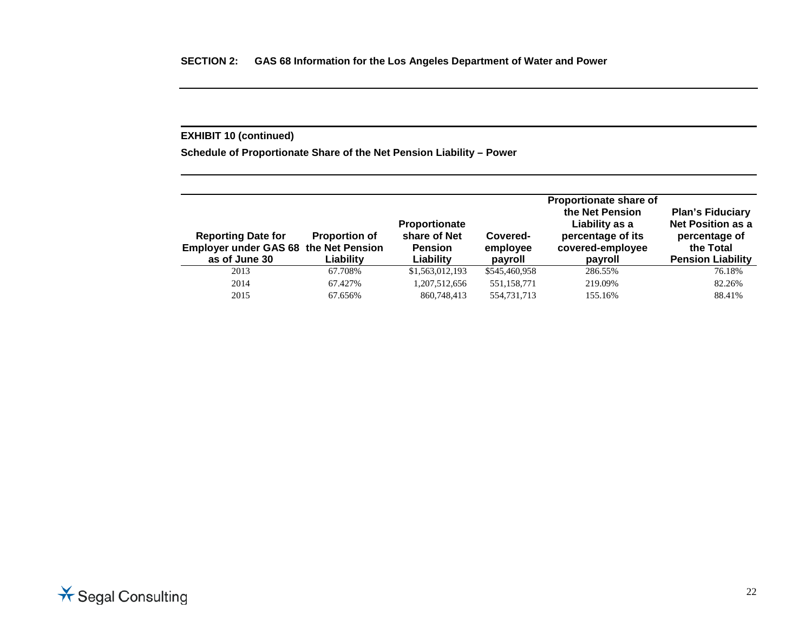## **EXHIBIT 10 (continued)**

**Schedule of Proportionate Share of the Net Pension Liability – Power** 

| <b>Reporting Date for</b><br><b>Employer under GAS 68 the Net Pension</b><br>as of June 30 | <b>Proportion of</b><br>Liability | <b>Proportionate</b><br>share of Net<br><b>Pension</b><br>Liability | Covered-<br>employee<br>payroll | Proportionate share of<br>the Net Pension<br>Liability as a<br>percentage of its<br>covered-employee<br>payroll | <b>Plan's Fiduciary</b><br><b>Net Position as a</b><br>percentage of<br>the Total<br><b>Pension Liability</b> |
|--------------------------------------------------------------------------------------------|-----------------------------------|---------------------------------------------------------------------|---------------------------------|-----------------------------------------------------------------------------------------------------------------|---------------------------------------------------------------------------------------------------------------|
| 2013                                                                                       | 67.708%                           | \$1,563,012,193                                                     | \$545,460,958                   | 286.55%                                                                                                         | 76.18%                                                                                                        |
| 2014                                                                                       | 67.427%                           | 1,207,512,656                                                       | 551,158,771                     | 219.09%                                                                                                         | 82.26%                                                                                                        |
| 2015                                                                                       | 67.656%                           | 860,748,413                                                         | 554,731,713                     | 155.16%                                                                                                         | 88.41%                                                                                                        |

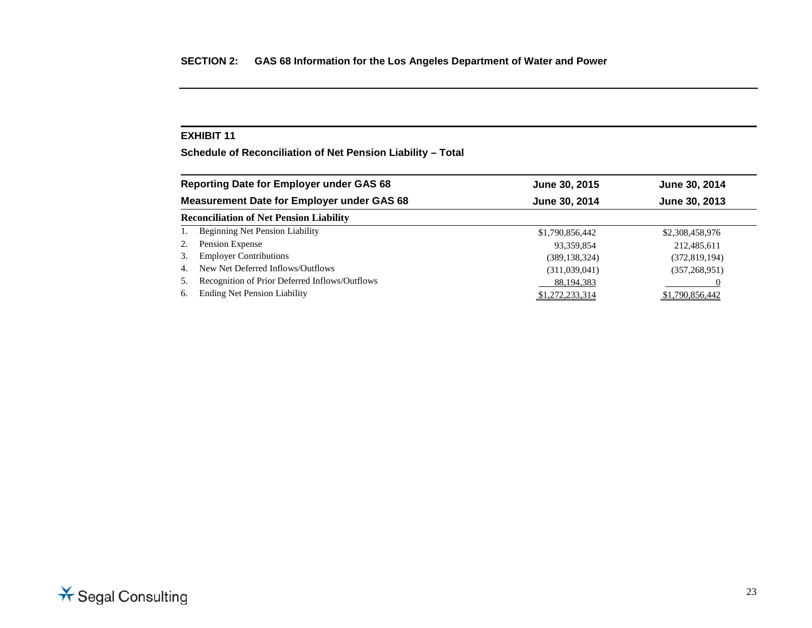**Schedule of Reconciliation of Net Pension Liability – Total**

|    | <b>Reporting Date for Employer under GAS 68</b>   | June 30, 2015   | June 30, 2014   |
|----|---------------------------------------------------|-----------------|-----------------|
|    | <b>Measurement Date for Employer under GAS 68</b> | June 30, 2014   | June 30, 2013   |
|    | <b>Reconciliation of Net Pension Liability</b>    |                 |                 |
|    | <b>Beginning Net Pension Liability</b>            | \$1,790,856,442 | \$2,308,458,976 |
| 2. | Pension Expense                                   | 93,359,854      | 212,485,611     |
| 3. | <b>Employer Contributions</b>                     | (389, 138, 324) | (372, 819, 194) |
| 4. | New Net Deferred Inflows/Outflows                 | (311,039,041)   | (357, 268, 951) |
| 5. | Recognition of Prior Deferred Inflows/Outflows    | 88,194,383      |                 |
| 6. | <b>Ending Net Pension Liability</b>               | \$1,272,233,314 | \$1,790,856,442 |

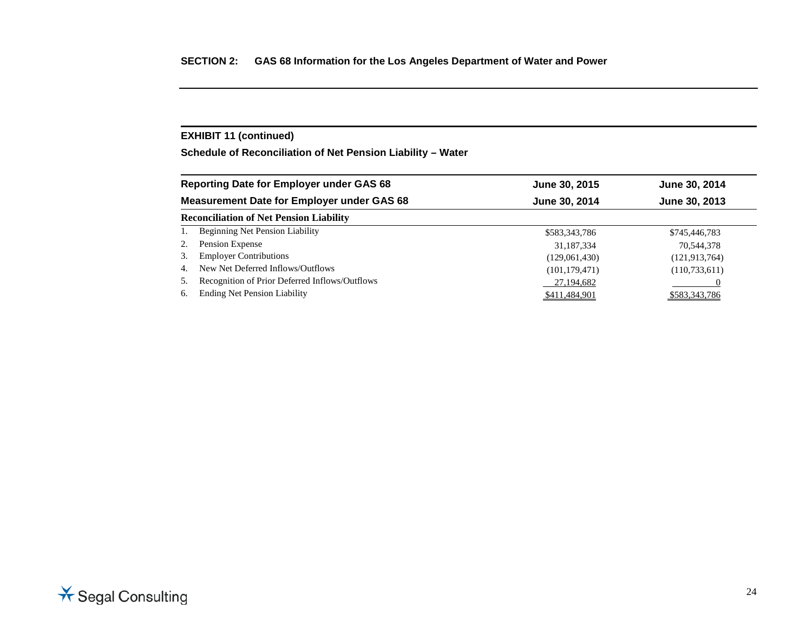## **EXHIBIT 11 (continued)**

**Schedule of Reconciliation of Net Pension Liability – Water** 

|    | <b>Reporting Date for Employer under GAS 68</b>   | June 30, 2015   | June 30, 2014   |
|----|---------------------------------------------------|-----------------|-----------------|
|    | <b>Measurement Date for Employer under GAS 68</b> | June 30, 2014   | June 30, 2013   |
|    | <b>Reconciliation of Net Pension Liability</b>    |                 |                 |
|    | <b>Beginning Net Pension Liability</b>            | \$583,343,786   | \$745,446,783   |
| 2. | Pension Expense                                   | 31,187,334      | 70,544,378      |
| 3. | <b>Employer Contributions</b>                     | (129,061,430)   | (121, 913, 764) |
| 4. | New Net Deferred Inflows/Outflows                 | (101, 179, 471) | (110, 733, 611) |
| 5. | Recognition of Prior Deferred Inflows/Outflows    | 27,194,682      |                 |
| 6. | <b>Ending Net Pension Liability</b>               | \$411,484,901   | \$583,343,786   |

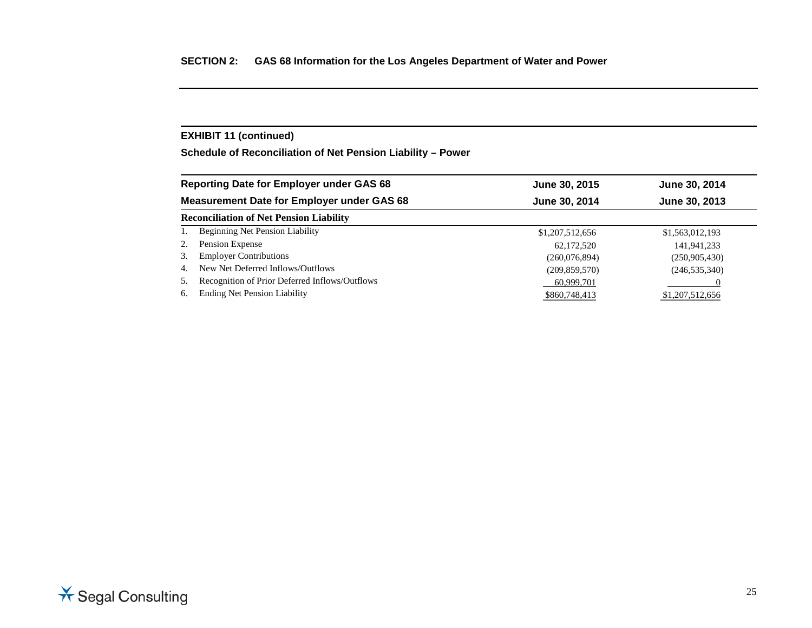## **EXHIBIT 11 (continued)**

**Schedule of Reconciliation of Net Pension Liability – Power** 

|    | <b>Reporting Date for Employer under GAS 68</b>   | June 30, 2015   | June 30, 2014   |
|----|---------------------------------------------------|-----------------|-----------------|
|    | <b>Measurement Date for Employer under GAS 68</b> | June 30, 2014   | June 30, 2013   |
|    | <b>Reconciliation of Net Pension Liability</b>    |                 |                 |
|    | <b>Beginning Net Pension Liability</b>            | \$1,207,512,656 | \$1,563,012,193 |
| 2. | Pension Expense                                   | 62,172,520      | 141,941,233     |
| 3. | <b>Employer Contributions</b>                     | (260,076,894)   | (250,905,430)   |
| 4. | New Net Deferred Inflows/Outflows                 | (209, 859, 570) | (246, 535, 340) |
| 5. | Recognition of Prior Deferred Inflows/Outflows    | 60,999,701      |                 |
| 6. | <b>Ending Net Pension Liability</b>               | \$860,748,413   | \$1,207,512,656 |

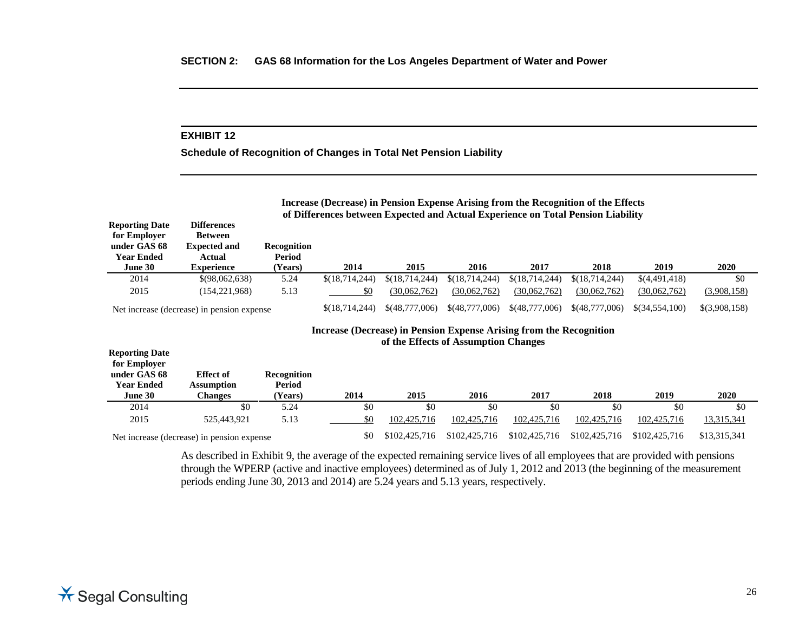**Schedule of Recognition of Changes in Total Net Pension Liability**

|                       | of Differences between Expected and Actual Experience on Total Pension Liability |             |                  |                |                |                |                |               |             |
|-----------------------|----------------------------------------------------------------------------------|-------------|------------------|----------------|----------------|----------------|----------------|---------------|-------------|
| <b>Reporting Date</b> | <b>Differences</b>                                                               |             |                  |                |                |                |                |               |             |
| for Employer          | <b>Between</b>                                                                   |             |                  |                |                |                |                |               |             |
| under GAS 68          | <b>Expected and</b>                                                              | Recognition |                  |                |                |                |                |               |             |
| <b>Year Ended</b>     | Actual                                                                           | Period      |                  |                |                |                |                |               |             |
| June 30               | <b>Experience</b>                                                                | (Years)     | 2014             | 2015           | 2016           | 2017           | 2018           | 2019          | 2020        |
|                       |                                                                                  |             |                  |                |                |                |                |               |             |
| 2014                  | \$(98,062,638)                                                                   | 5.24        | \$(18, 714, 244) | \$(18,714,244) | \$(18,714,244) | \$(18,714,244) | \$(18,714,244) | \$(4,491,418) | \$0         |
| 2015                  | (154.221.968)                                                                    | 5.13        | \$0              | (30.062.762)   | (30.062.762)   | (30.062.762)   | (30.062.762)   | (30,062,762)  | (3,908,158) |

#### **Increase (Decrease) in Pension Expense Arising from the Recognition of the Effects of Assumption Changes**

**Increase (Decrease) in Pension Expense Arising from the Recognition of the Effects**

| <b>Reporting Date</b><br>for Employer |                                            |                              |      |               |               |               |               |               |              |
|---------------------------------------|--------------------------------------------|------------------------------|------|---------------|---------------|---------------|---------------|---------------|--------------|
| under GAS 68<br><b>Year Ended</b>     | <b>Effect</b> of<br><b>Assumption</b>      | <b>Recognition</b><br>Period |      |               |               |               |               |               |              |
| June 30                               | Changes                                    | (Years)                      | 2014 | 2015          | 2016          | 2017          | 2018          | 2019          | 2020         |
| 2014                                  | \$0                                        | 5.24                         | \$0  | \$0           | \$0           | \$0           | \$0           | \$0           | \$0          |
| 2015                                  | 525,443,921                                | 5.13                         | \$0  | 102,425,716   | 102,425,716   | 102,425,716   | 102,425,716   | 102,425,716   | 13,315,341   |
|                                       | Net increase (decrease) in pension expense |                              | \$0  | \$102,425,716 | \$102,425,716 | \$102,425,716 | \$102,425,716 | \$102,425,716 | \$13,315,341 |

As described in Exhibit 9, the average of the expected remaining service lives of all employees that are provided with pensions through the WPERP (active and inactive employees) determined as of July 1, 2012 and 2013 (the beginning of the measurement periods ending June 30, 2013 and 2014) are 5.24 years and 5.13 years, respectively.

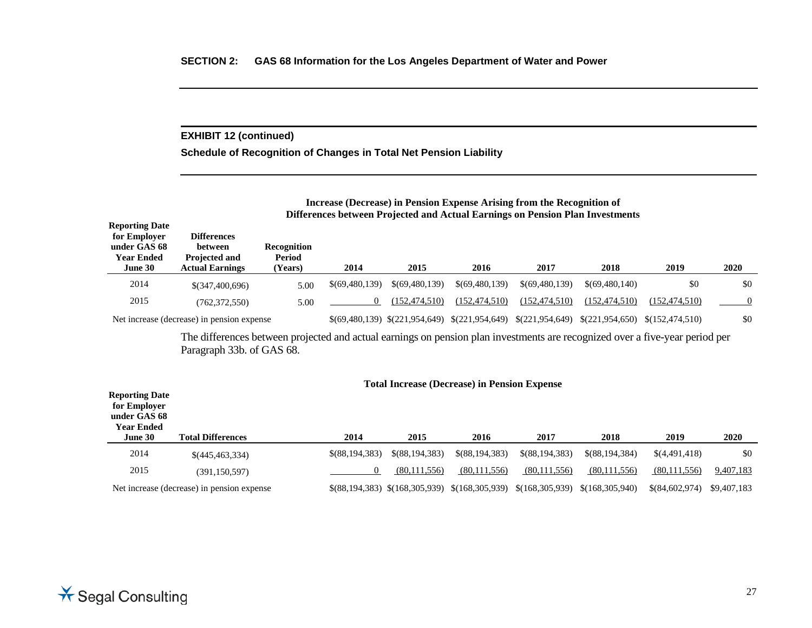## **EXHIBIT 12 (continued)**

**Schedule of Recognition of Changes in Total Net Pension Liability**

#### **Increase (Decrease) in Pension Expense Arising from the Recognition of Differences between Projected and Actual Earnings on Pension Plan Investments**

| <b>Reporting Date</b><br>for Employer<br>under GAS 68<br><b>Year Ended</b><br>June 30 | <b>Differences</b><br>between<br><b>Projected and</b><br><b>Actual Earnings</b> | <b>Recognition</b><br><b>Period</b><br><b>Years)</b> | 2014           | 2015                            | 2016            | 2017            | 2018            | 2019              | 2020 |
|---------------------------------------------------------------------------------------|---------------------------------------------------------------------------------|------------------------------------------------------|----------------|---------------------------------|-----------------|-----------------|-----------------|-------------------|------|
|                                                                                       |                                                                                 |                                                      |                |                                 |                 |                 |                 |                   |      |
| 2014                                                                                  | \$(347,400,696)                                                                 | 5.00                                                 | \$(69,480,139) | \$(69,480,139)                  | \$(69,480,139)  | \$(69,480,139)  | \$(69,480,140)  | \$0               | \$0  |
| 2015                                                                                  | (762, 372, 550)                                                                 | 5.00                                                 |                | (152.474.510)                   | (152.474.510)   | (152.474.510)   | (152.474.510)   | (152.474.510)     |      |
|                                                                                       | Net increase (decrease) in pension expense                                      |                                                      |                | $$(69,480,139) \$(221,954,649)$ | \$(221,954,649) | \$(221,954,649) | \$(221,954,650) | \$(152, 474, 510) | \$0  |

The differences between projected and actual earnings on pension plan investments are recognized over a five-year period per Paragraph 33b. of GAS 68.

| <b>Reporting Date</b><br>for Employer<br>under GAS 68<br><b>Year Ended</b> |                                            |                |                                 | Total mercase (Deel case) in Temsion Expense |                 |                 |                |             |
|----------------------------------------------------------------------------|--------------------------------------------|----------------|---------------------------------|----------------------------------------------|-----------------|-----------------|----------------|-------------|
| June 30                                                                    | <b>Total Differences</b>                   | 2014           | 2015                            | 2016                                         | 2017            | 2018            | 2019           | 2020        |
| 2014                                                                       | \$(445,463,334)                            | \$(88,194,383) | \$ (88.194.383)                 | $$$ (88,194,383)                             | \$(88,194,383)  | \$(88.194.384)  | \$(4,491,418)  | \$0         |
| 2015                                                                       | (391.150.597)                              |                | (80,111,556)                    | (80,111,556)                                 | (80, 111, 556)  | (80,111,556)    | (80,111,556)   | 9,407,183   |
|                                                                            | Net increase (decrease) in pension expense |                | $$(88,194,383) \$(168,305,939)$ | \$(168,305,939)                              | \$(168,305,939) | \$(168,305,940) | \$(84,602,974) | \$9,407,183 |

#### **Total Increase (Decrease) in Pension Expense**

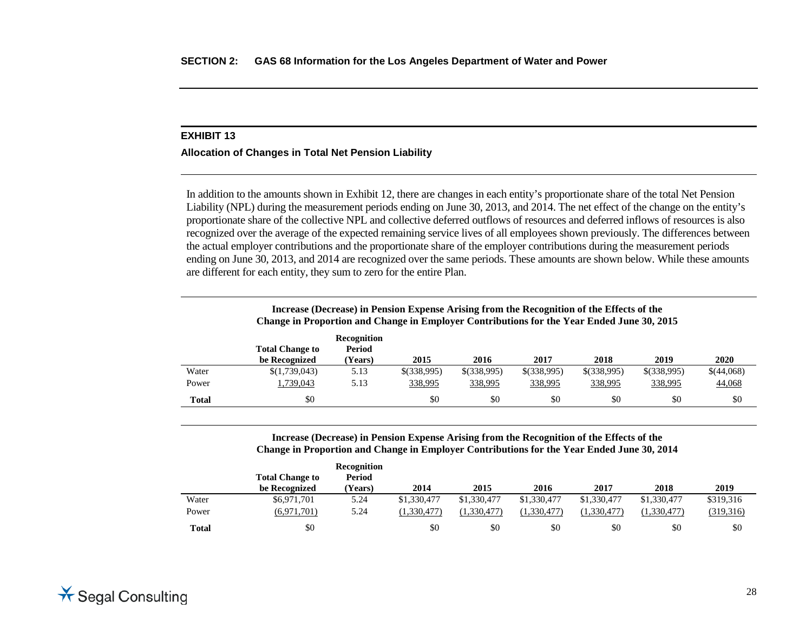#### **Allocation of Changes in Total Net Pension Liability**

In addition to the amounts shown in Exhibit 12, there are changes in each entity's proportionate share of the total Net Pension Liability (NPL) during the measurement periods ending on June 30, 2013, and 2014. The net effect of the change on the entity's proportionate share of the collective NPL and collective deferred outflows of resources and deferred inflows of resources is also recognized over the average of the expected remaining service lives of all employees shown previously. The differences between the actual employer contributions and the proportionate share of the employer contributions during the measurement periods ending on June 30, 2013, and 2014 are recognized over the same periods. These amounts are shown below. While these amounts are different for each entity, they sum to zero for the entire Plan.

|              | Change in Proportion and Change in Employer Contributions for the Year Ended June 30, 2015 |                                         | Increase (Decrease) in Pension Expense Arising from the Recognition of the Effects of the |             |               |             |             |            |
|--------------|--------------------------------------------------------------------------------------------|-----------------------------------------|-------------------------------------------------------------------------------------------|-------------|---------------|-------------|-------------|------------|
|              | <b>Total Change to</b><br>be Recognized                                                    | <b>Recognition</b><br>Period<br>(Years) | 2015                                                                                      | 2016        | 2017          | 2018        | 2019        | 2020       |
| Water        | \$(1,739,043)                                                                              | 5.13                                    | \$(338,995)                                                                               | \$(338,995) | $$$ (338,995) | \$(338,995) | \$(338,995) | \$(44,068) |
| Power        | 1,739,043                                                                                  | 5.13                                    | 338,995                                                                                   | 338,995     | 338,995       | 338,995     | 338,995     | 44,068     |
| <b>Total</b> | \$0                                                                                        |                                         | \$0                                                                                       | \$0         | \$0           | \$0         | \$0         | \$0        |

#### **Increase (Decrease) in Pension Expense Arising from the Recognition of the Effects of the Change in Proportion and Change in Employer Contributions for the Year Ended June 30, 2014**

|       |                        | Recognition    |             |             |             |             |             |           |
|-------|------------------------|----------------|-------------|-------------|-------------|-------------|-------------|-----------|
|       | <b>Total Change to</b> | Period         |             |             |             |             |             |           |
|       | be Recognized          | <b>Years</b> ) | 2014        | 2015        | 2016        | 2017        | 2018        | 2019      |
| Water | \$6,971,701            | 5.24           | \$1,330,477 | \$1,330,477 | \$1,330,477 | \$1,330,477 | \$1,330,477 | \$319.316 |
| Power | (6,971,701)            | 5.24           | (1.330.477) | (1.330.477) | (1.330.477) | (1.330.477) | (1.330.477) | (319,316) |
| Total | \$0                    |                | \$0         | \$0         | \$0         | \$0         | \$0         | \$0       |

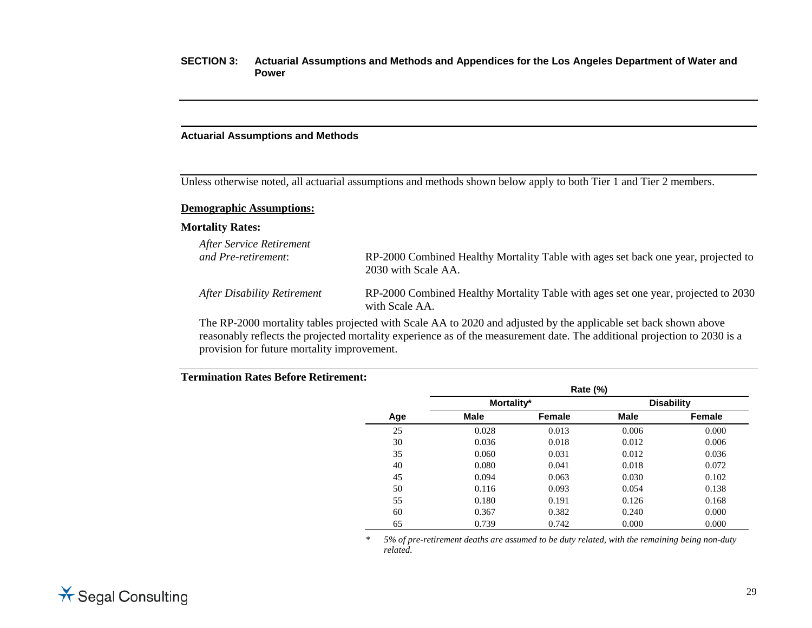#### **Actuarial Assumptions and Methods**

Unless otherwise noted, all actuarial assumptions and methods shown below apply to both Tier 1 and Tier 2 members.

#### **Demographic Assumptions:**

#### **Mortality Rates:**

| After Service Retirement<br>and Pre-retirement: | RP-2000 Combined Healthy Mortality Table with ages set back one year, projected to<br>2030 with Scale AA. |
|-------------------------------------------------|-----------------------------------------------------------------------------------------------------------|
| After Disability Retirement                     | RP-2000 Combined Healthy Mortality Table with ages set one year, projected to 2030<br>with Scale AA.      |
|                                                 |                                                                                                           |

The RP-2000 mortality tables projected with Scale AA to 2020 and adjusted by the applicable set back shown above reasonably reflects the projected mortality experience as of the measurement date. The additional projection to 2030 is a provision for future mortality improvement.

## **Termination Rates Before Retirement:**

|     |             | Rate (%) |       |                   |
|-----|-------------|----------|-------|-------------------|
|     | Mortality*  |          |       | <b>Disability</b> |
| Age | <b>Male</b> | Female   | Male  | Female            |
| 25  | 0.028       | 0.013    | 0.006 | 0.000             |
| 30  | 0.036       | 0.018    | 0.012 | 0.006             |
| 35  | 0.060       | 0.031    | 0.012 | 0.036             |
| 40  | 0.080       | 0.041    | 0.018 | 0.072             |
| 45  | 0.094       | 0.063    | 0.030 | 0.102             |
| 50  | 0.116       | 0.093    | 0.054 | 0.138             |
| 55  | 0.180       | 0.191    | 0.126 | 0.168             |
| 60  | 0.367       | 0.382    | 0.240 | 0.000             |
| 65  | 0.739       | 0.742    | 0.000 | 0.000             |

*\* 5% of pre-retirement deaths are assumed to be duty related, with the remaining being non-duty related.*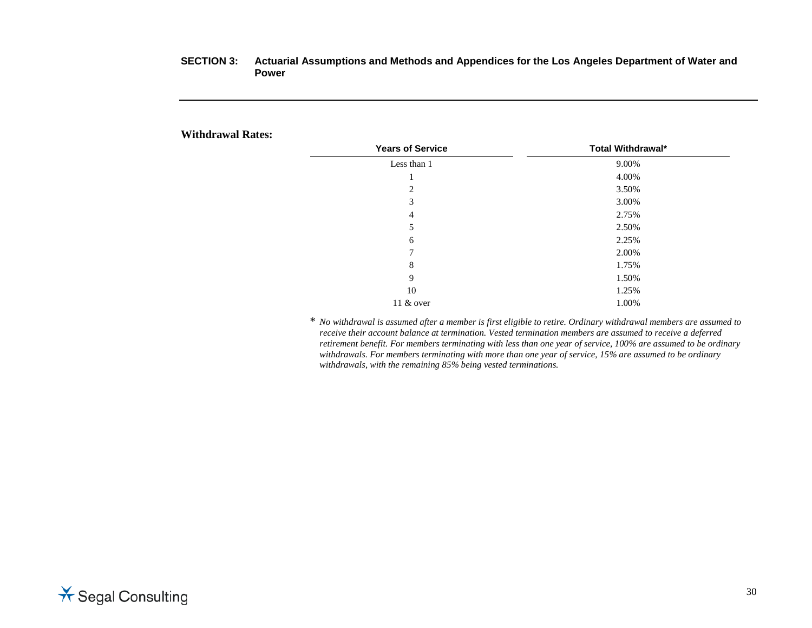## **Withdrawal Rates:**

| <b>Years of Service</b> | Total Withdrawal* |
|-------------------------|-------------------|
| Less than 1             | 9.00%             |
|                         | 4.00%             |
| 2                       | 3.50%             |
| 3                       | 3.00%             |
| 4                       | 2.75%             |
| 5                       | 2.50%             |
| 6                       | 2.25%             |
| 7                       | 2.00%             |
| 8                       | 1.75%             |
| 9                       | 1.50%             |
| 10                      | 1.25%             |
| 11 & over               | 1.00%             |

\* *No withdrawal is assumed after a member is first eligible to retire. Ordinary withdrawal members are assumed to receive their account balance at termination. Vested termination members are assumed to receive a deferred retirement benefit. For members terminating with less than one year of service, 100% are assumed to be ordinary withdrawals. For members terminating with more than one year of service, 15% are assumed to be ordinary withdrawals, with the remaining 85% being vested terminations.* 

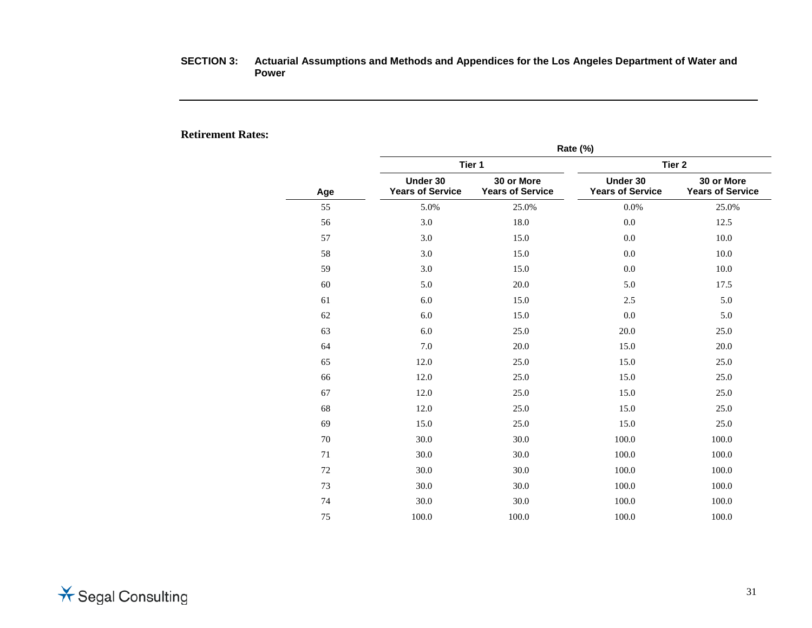## **Retirement Rates:**

|     | Rate (%)                            |                                       |                                     |                                       |  |  |
|-----|-------------------------------------|---------------------------------------|-------------------------------------|---------------------------------------|--|--|
|     |                                     | Tier 1                                | Tier <sub>2</sub>                   |                                       |  |  |
| Age | Under 30<br><b>Years of Service</b> | 30 or More<br><b>Years of Service</b> | Under 30<br><b>Years of Service</b> | 30 or More<br><b>Years of Service</b> |  |  |
| 55  | 5.0%                                | 25.0%                                 | 0.0%                                | 25.0%                                 |  |  |
| 56  | 3.0                                 | 18.0                                  | 0.0                                 | 12.5                                  |  |  |
| 57  | 3.0                                 | 15.0                                  | 0.0                                 | 10.0                                  |  |  |
| 58  | 3.0                                 | 15.0                                  | 0.0                                 | 10.0                                  |  |  |
| 59  | 3.0                                 | 15.0                                  | 0.0                                 | 10.0                                  |  |  |
| 60  | 5.0                                 | 20.0                                  | 5.0                                 | 17.5                                  |  |  |
| 61  | 6.0                                 | 15.0                                  | 2.5                                 | 5.0                                   |  |  |
| 62  | 6.0                                 | 15.0                                  | 0.0                                 | 5.0                                   |  |  |
| 63  | 6.0                                 | 25.0                                  | 20.0                                | 25.0                                  |  |  |
| 64  | 7.0                                 | 20.0                                  | 15.0                                | 20.0                                  |  |  |
| 65  | 12.0                                | 25.0                                  | 15.0                                | 25.0                                  |  |  |
| 66  | 12.0                                | 25.0                                  | 15.0                                | 25.0                                  |  |  |
| 67  | 12.0                                | 25.0                                  | 15.0                                | 25.0                                  |  |  |
| 68  | 12.0                                | 25.0                                  | 15.0                                | 25.0                                  |  |  |
| 69  | 15.0                                | 25.0                                  | 15.0                                | 25.0                                  |  |  |
| 70  | 30.0                                | 30.0                                  | 100.0                               | 100.0                                 |  |  |
| 71  | 30.0                                | 30.0                                  | 100.0                               | 100.0                                 |  |  |
| 72  | 30.0                                | 30.0                                  | 100.0                               | 100.0                                 |  |  |
| 73  | 30.0                                | 30.0                                  | 100.0                               | 100.0                                 |  |  |
| 74  | 30.0                                | 30.0                                  | 100.0                               | 100.0                                 |  |  |
| 75  | 100.0                               | 100.0                                 | 100.0                               | 100.0                                 |  |  |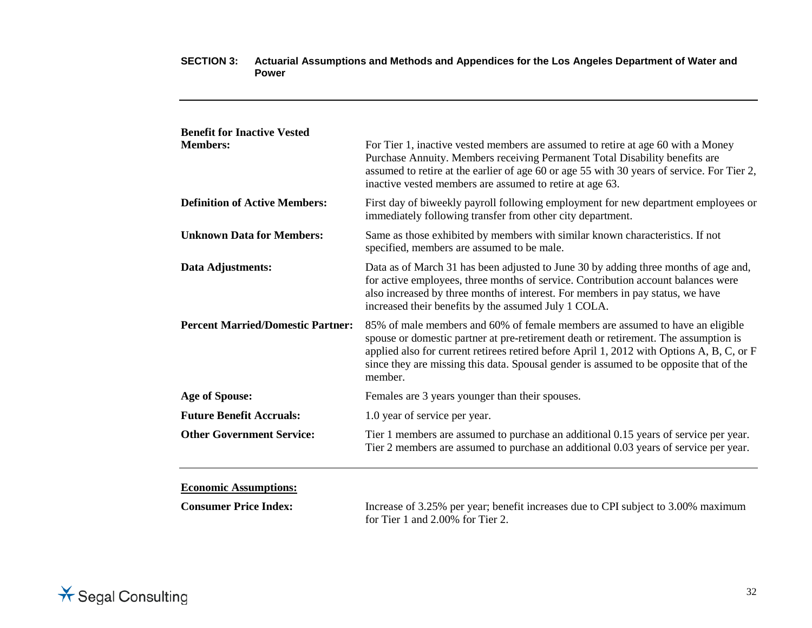| <b>Benefit for Inactive Vested</b>       |                                                                                                                                                                                                                                                                                                                                                                        |
|------------------------------------------|------------------------------------------------------------------------------------------------------------------------------------------------------------------------------------------------------------------------------------------------------------------------------------------------------------------------------------------------------------------------|
| <b>Members:</b>                          | For Tier 1, inactive vested members are assumed to retire at age 60 with a Money<br>Purchase Annuity. Members receiving Permanent Total Disability benefits are<br>assumed to retire at the earlier of age 60 or age 55 with 30 years of service. For Tier 2,<br>inactive vested members are assumed to retire at age 63.                                              |
| <b>Definition of Active Members:</b>     | First day of biweekly payroll following employment for new department employees or<br>immediately following transfer from other city department.                                                                                                                                                                                                                       |
| <b>Unknown Data for Members:</b>         | Same as those exhibited by members with similar known characteristics. If not<br>specified, members are assumed to be male.                                                                                                                                                                                                                                            |
| Data Adjustments:                        | Data as of March 31 has been adjusted to June 30 by adding three months of age and,<br>for active employees, three months of service. Contribution account balances were<br>also increased by three months of interest. For members in pay status, we have<br>increased their benefits by the assumed July 1 COLA.                                                     |
| <b>Percent Married/Domestic Partner:</b> | 85% of male members and 60% of female members are assumed to have an eligible<br>spouse or domestic partner at pre-retirement death or retirement. The assumption is<br>applied also for current retirees retired before April 1, 2012 with Options A, B, C, or F<br>since they are missing this data. Spousal gender is assumed to be opposite that of the<br>member. |
| <b>Age of Spouse:</b>                    | Females are 3 years younger than their spouses.                                                                                                                                                                                                                                                                                                                        |
| <b>Future Benefit Accruals:</b>          | 1.0 year of service per year.                                                                                                                                                                                                                                                                                                                                          |
| <b>Other Government Service:</b>         | Tier 1 members are assumed to purchase an additional 0.15 years of service per year.<br>Tier 2 members are assumed to purchase an additional 0.03 years of service per year.                                                                                                                                                                                           |

**Economic Assumptions:**

**Consumer Price Index:** Increase of 3.25% per year; benefit increases due to CPI subject to 3.00% maximum for Tier 1 and 2.00% for Tier 2.

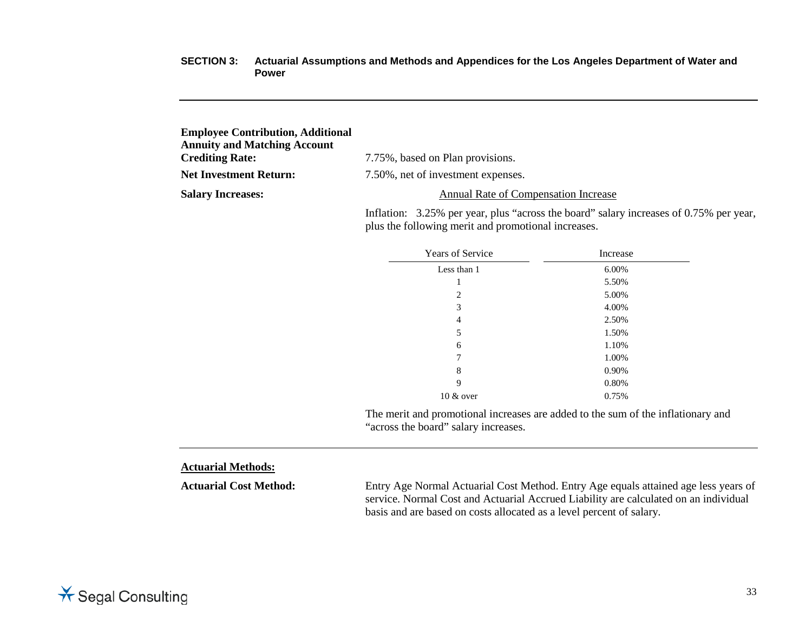| <b>Employee Contribution, Additional</b> |                                             |
|------------------------------------------|---------------------------------------------|
| <b>Annuity and Matching Account</b>      |                                             |
| <b>Crediting Rate:</b>                   | 7.75%, based on Plan provisions.            |
| <b>Net Investment Return:</b>            | 7.50%, net of investment expenses.          |
| <b>Salary Increases:</b>                 | <b>Annual Rate of Compensation Increase</b> |
|                                          |                                             |

Inflation: 3.25% per year, plus "across the board" salary increases of 0.75% per year, plus the following merit and promotional increases.

| <b>Years of Service</b> | Increase |  |
|-------------------------|----------|--|
| Less than 1             | 6.00%    |  |
| 1                       | 5.50%    |  |
| 2                       | 5.00%    |  |
| 3                       | 4.00%    |  |
| 4                       | 2.50%    |  |
| 5                       | 1.50%    |  |
| 6                       | 1.10%    |  |
| 7                       | 1.00%    |  |
| 8                       | 0.90%    |  |
| 9                       | 0.80%    |  |
| $10 \& over$            | 0.75%    |  |

The merit and promotional increases are added to the sum of the inflationary and "across the board" salary increases.

## **Actuarial Methods:**

**Actuarial Cost Method:** Entry Age Normal Actuarial Cost Method. Entry Age equals attained age less years of service. Normal Cost and Actuarial Accrued Liability are calculated on an individual basis and are based on costs allocated as a level percent of salary.

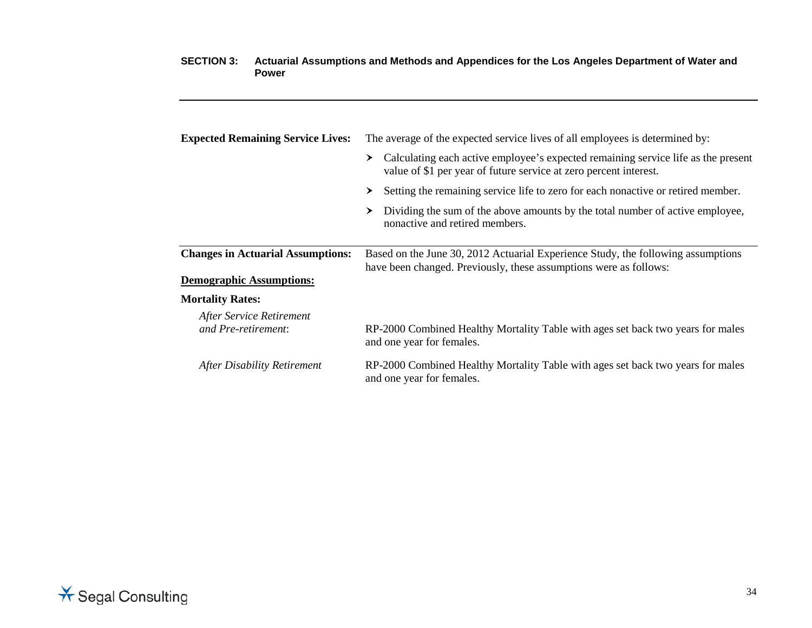| <b>Expected Remaining Service Lives:</b>        | The average of the expected service lives of all employees is determined by:                                                                                |  |  |  |
|-------------------------------------------------|-------------------------------------------------------------------------------------------------------------------------------------------------------------|--|--|--|
|                                                 | Calculating each active employee's expected remaining service life as the present<br>≻<br>value of \$1 per year of future service at zero percent interest. |  |  |  |
|                                                 | Setting the remaining service life to zero for each nonactive or retired member.<br>≻                                                                       |  |  |  |
|                                                 | Dividing the sum of the above amounts by the total number of active employee,<br>≻<br>nonactive and retired members.                                        |  |  |  |
| <b>Changes in Actuarial Assumptions:</b>        | Based on the June 30, 2012 Actuarial Experience Study, the following assumptions<br>have been changed. Previously, these assumptions were as follows:       |  |  |  |
| <b>Demographic Assumptions:</b>                 |                                                                                                                                                             |  |  |  |
| <b>Mortality Rates:</b>                         |                                                                                                                                                             |  |  |  |
| After Service Retirement<br>and Pre-retirement: | RP-2000 Combined Healthy Mortality Table with ages set back two years for males<br>and one year for females.                                                |  |  |  |
| After Disability Retirement                     | RP-2000 Combined Healthy Mortality Table with ages set back two years for males<br>and one year for females.                                                |  |  |  |

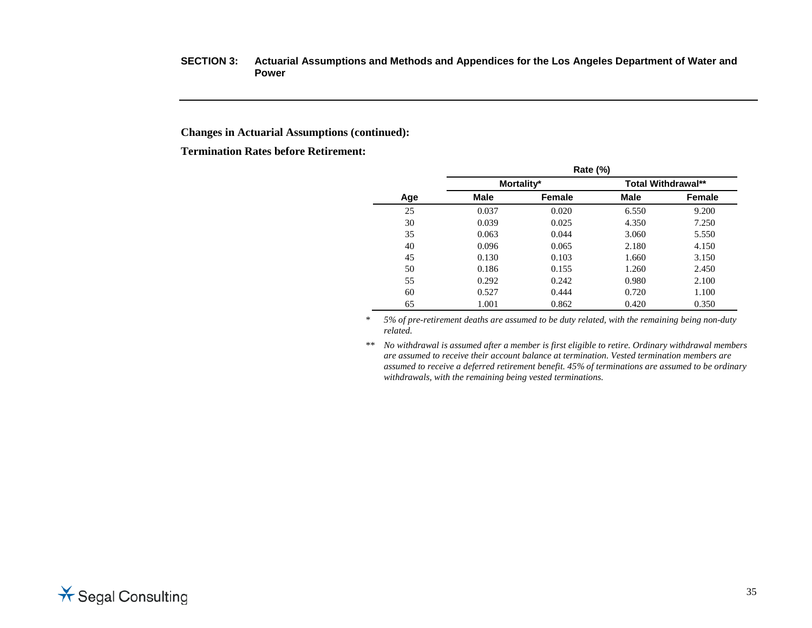## **Changes in Actuarial Assumptions (continued):**

**Termination Rates before Retirement:**

|     | <b>Rate (%)</b> |        |                           |        |  |  |
|-----|-----------------|--------|---------------------------|--------|--|--|
|     | Mortality*      |        | <b>Total Withdrawal**</b> |        |  |  |
| Age | <b>Male</b>     | Female | <b>Male</b>               | Female |  |  |
| 25  | 0.037           | 0.020  | 6.550                     | 9.200  |  |  |
| 30  | 0.039           | 0.025  | 4.350                     | 7.250  |  |  |
| 35  | 0.063           | 0.044  | 3.060                     | 5.550  |  |  |
| 40  | 0.096           | 0.065  | 2.180                     | 4.150  |  |  |
| 45  | 0.130           | 0.103  | 1.660                     | 3.150  |  |  |
| 50  | 0.186           | 0.155  | 1.260                     | 2.450  |  |  |
| 55  | 0.292           | 0.242  | 0.980                     | 2.100  |  |  |
| 60  | 0.527           | 0.444  | 0.720                     | 1.100  |  |  |
| 65  | 1.001           | 0.862  | 0.420                     | 0.350  |  |  |

*\* 5% of pre-retirement deaths are assumed to be duty related, with the remaining being non-duty related.*

*\*\* No withdrawal is assumed after a member is first eligible to retire. Ordinary withdrawal members are assumed to receive their account balance at termination. Vested termination members are assumed to receive a deferred retirement benefit. 45% of terminations are assumed to be ordinary withdrawals, with the remaining being vested terminations.*

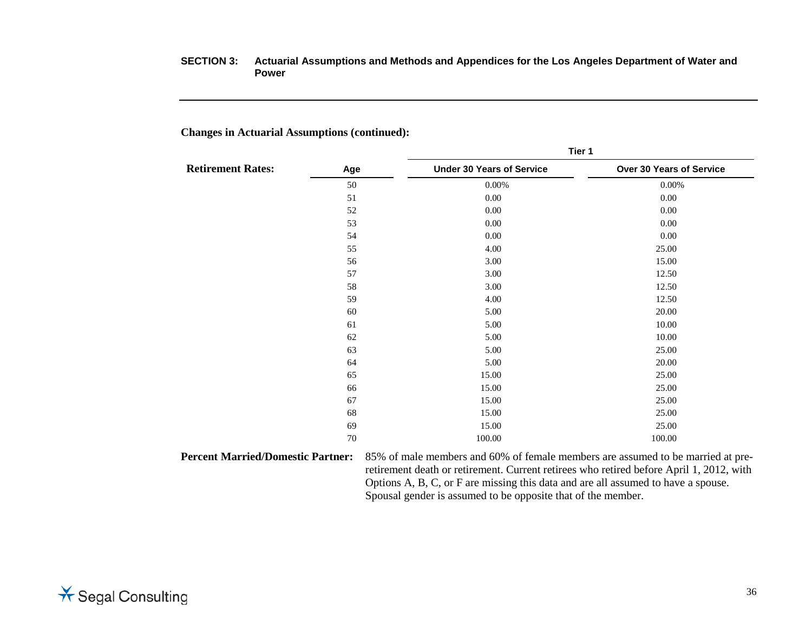## **Changes in Actuarial Assumptions (continued):**

|                          |     | Tier 1                           |                          |  |  |
|--------------------------|-----|----------------------------------|--------------------------|--|--|
| <b>Retirement Rates:</b> | Age | <b>Under 30 Years of Service</b> | Over 30 Years of Service |  |  |
|                          | 50  | 0.00%                            | 0.00%                    |  |  |
|                          | 51  | 0.00                             | 0.00                     |  |  |
|                          | 52  | 0.00                             | 0.00                     |  |  |
|                          | 53  | 0.00                             | 0.00                     |  |  |
|                          | 54  | 0.00                             | 0.00                     |  |  |
|                          | 55  | 4.00                             | 25.00                    |  |  |
|                          | 56  | 3.00                             | 15.00                    |  |  |
|                          | 57  | 3.00                             | 12.50                    |  |  |
|                          | 58  | 3.00                             | 12.50                    |  |  |
|                          | 59  | 4.00                             | 12.50                    |  |  |
|                          | 60  | 5.00                             | 20.00                    |  |  |
|                          | 61  | 5.00                             | 10.00                    |  |  |
|                          | 62  | 5.00                             | 10.00                    |  |  |
|                          | 63  | 5.00                             | 25.00                    |  |  |
|                          | 64  | 5.00                             | 20.00                    |  |  |
|                          | 65  | 15.00                            | 25.00                    |  |  |
|                          | 66  | 15.00                            | 25.00                    |  |  |
|                          | 67  | 15.00                            | 25.00                    |  |  |
|                          | 68  | 15.00                            | 25.00                    |  |  |
|                          | 69  | 15.00                            | 25.00                    |  |  |
|                          | 70  | 100.00                           | 100.00                   |  |  |

retirement death or retirement. Current retirees who retired before April 1, 2012, with Options A, B, C, or F are missing this data and are all assumed to have a spouse. Spousal gender is assumed to be opposite that of the member.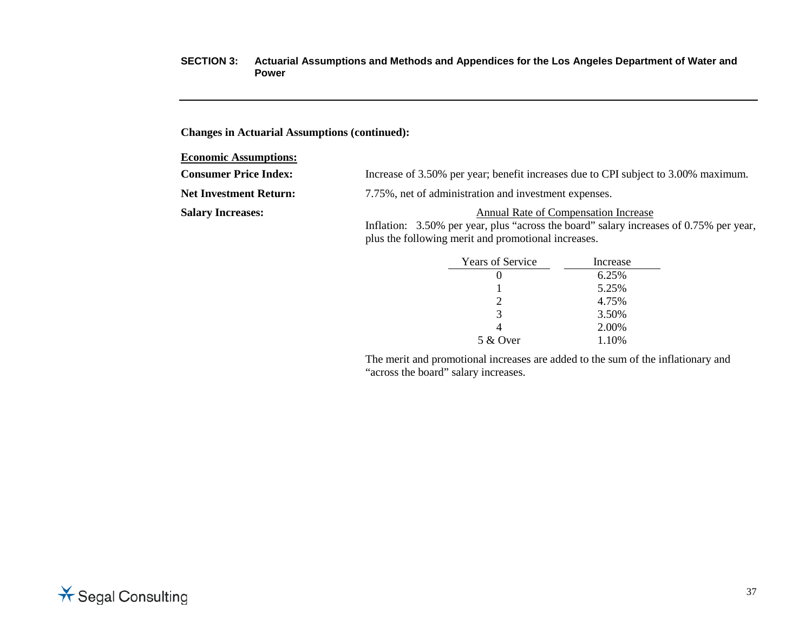## **Changes in Actuarial Assumptions (continued):**

#### **Economic Assumptions:**

| <b>Consumer Price Index:</b> |  |  | Increase of 3.50% per year; benefit increases due to CPI subject to 3.00% maximum. |  |
|------------------------------|--|--|------------------------------------------------------------------------------------|--|
|------------------------------|--|--|------------------------------------------------------------------------------------|--|

Net Investment Return: 7.75%, net of administration and investment expenses.

**Salary Increases:** Annual Rate of Compensation Increase

Inflation: 3.50% per year, plus "across the board" salary increases of 0.75% per year, plus the following merit and promotional increases.

| <b>Years of Service</b>     | Increase |  |  |
|-----------------------------|----------|--|--|
|                             | 6.25%    |  |  |
|                             | 5.25%    |  |  |
| $\mathcal{D}_{\mathcal{C}}$ | 4.75%    |  |  |
| 3                           | 3.50%    |  |  |
|                             | 2.00%    |  |  |
| 5 & Over                    | 1.10%    |  |  |

The merit and promotional increases are added to the sum of the inflationary and "across the board" salary increases.

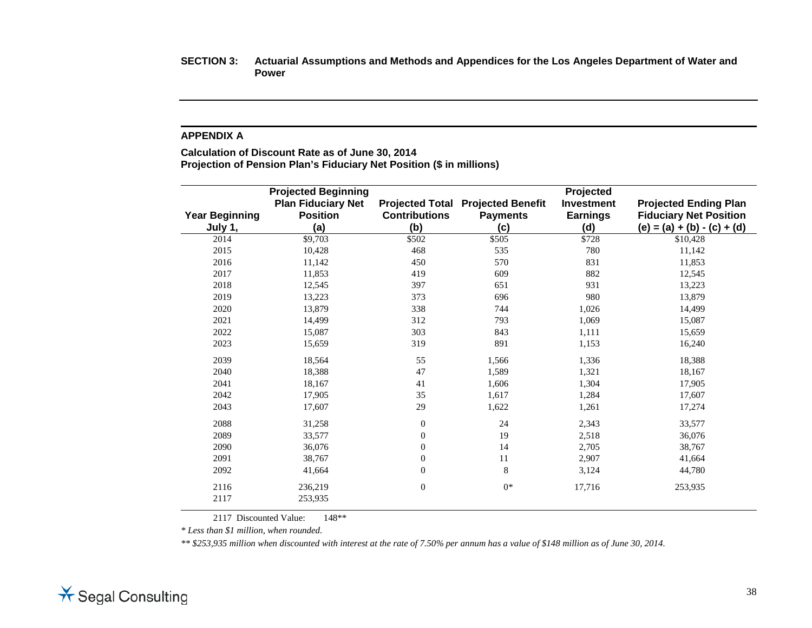#### **APPENDIX A**

**Calculation of Discount Rate as of June 30, 2014 Projection of Pension Plan's Fiduciary Net Position (\$ in millions)**

|                       | <b>Projected Beginning</b>                   |                      |                                                             | Projected                            |                                                               |
|-----------------------|----------------------------------------------|----------------------|-------------------------------------------------------------|--------------------------------------|---------------------------------------------------------------|
| <b>Year Beginning</b> | <b>Plan Fiduciary Net</b><br><b>Position</b> | <b>Contributions</b> | <b>Projected Total Projected Benefit</b><br><b>Payments</b> | <b>Investment</b><br><b>Earnings</b> | <b>Projected Ending Plan</b><br><b>Fiduciary Net Position</b> |
| July 1,               | (a)                                          | (b)                  | (c)                                                         | (d)                                  | $(e) = (a) + (b) - (c) + (d)$                                 |
| 2014                  | \$9,703                                      | \$502                | \$505                                                       | \$728                                | \$10,428                                                      |
| 2015                  | 10,428                                       | 468                  | 535                                                         | 780                                  | 11,142                                                        |
| 2016                  | 11,142                                       | 450                  | 570                                                         | 831                                  | 11,853                                                        |
| 2017                  | 11,853                                       | 419                  | 609                                                         | 882                                  | 12,545                                                        |
| 2018                  | 12,545                                       | 397                  | 651                                                         | 931                                  | 13,223                                                        |
| 2019                  | 13,223                                       | 373                  | 696                                                         | 980                                  | 13,879                                                        |
| 2020                  | 13,879                                       | 338                  | 744                                                         | 1,026                                | 14,499                                                        |
| 2021                  | 14,499                                       | 312                  | 793                                                         | 1,069                                | 15,087                                                        |
| 2022                  | 15,087                                       | 303                  | 843                                                         | 1,111                                | 15,659                                                        |
| 2023                  | 15,659                                       | 319                  | 891                                                         | 1,153                                | 16,240                                                        |
| 2039                  | 18,564                                       | 55                   | 1,566                                                       | 1,336                                | 18,388                                                        |
| 2040                  | 18,388                                       | 47                   | 1,589                                                       | 1,321                                | 18,167                                                        |
| 2041                  | 18,167                                       | 41                   | 1,606                                                       | 1,304                                | 17,905                                                        |
| 2042                  | 17,905                                       | 35                   | 1,617                                                       | 1,284                                | 17,607                                                        |
| 2043                  | 17,607                                       | 29                   | 1,622                                                       | 1,261                                | 17,274                                                        |
| 2088                  | 31,258                                       | $\mathbf{0}$         | 24                                                          | 2,343                                | 33,577                                                        |
| 2089                  | 33,577                                       | $\overline{0}$       | 19                                                          | 2,518                                | 36,076                                                        |
| 2090                  | 36,076                                       | $\overline{0}$       | 14                                                          | 2,705                                | 38,767                                                        |
| 2091                  | 38,767                                       | $\mathbf{0}$         | $11\,$                                                      | 2,907                                | 41,664                                                        |
| 2092                  | 41,664                                       | $\theta$             | 8                                                           | 3,124                                | 44,780                                                        |
| 2116                  | 236,219                                      | $\overline{0}$       | $0*$                                                        | 17,716                               | 253,935                                                       |
| 2117                  | 253,935                                      |                      |                                                             |                                      |                                                               |

2117 Discounted Value: 148<sup>\*\*</sup>

*\* Less than \$1 million, when rounded.*

*\*\* \$253,935 million when discounted with interest at the rate of 7.50% per annum has a value of \$148 million as of June 30, 2014.*

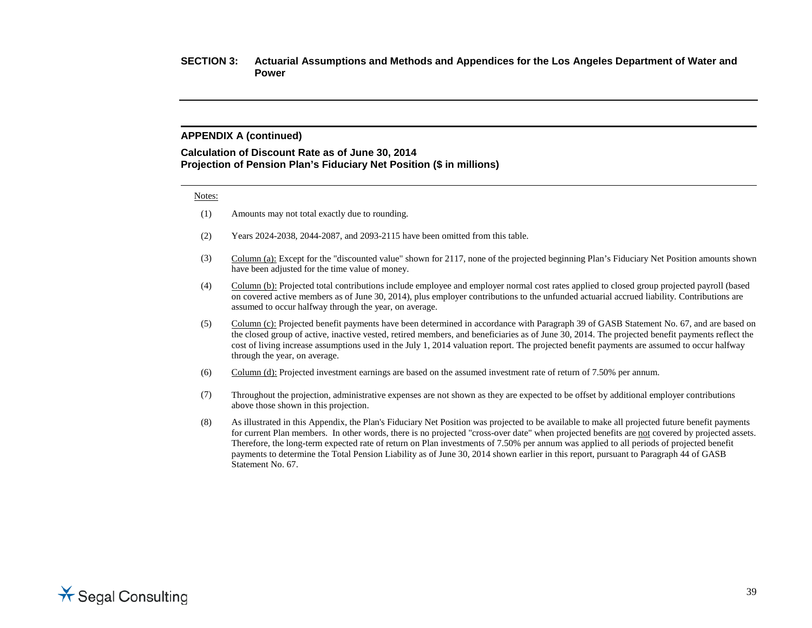#### **APPENDIX A (continued)**

#### **Calculation of Discount Rate as of June 30, 2014 Projection of Pension Plan's Fiduciary Net Position (\$ in millions)**

#### Notes:

- (1) Amounts may not total exactly due to rounding.
- (2) Years 2024-2038, 2044-2087, and 2093-2115 have been omitted from this table.
- (3) Column (a): Except for the "discounted value" shown for 2117, none of the projected beginning Plan's Fiduciary Net Position amounts shown have been adjusted for the time value of money.
- (4) Column (b): Projected total contributions include employee and employer normal cost rates applied to closed group projected payroll (based on covered active members as of June 30, 2014), plus employer contributions to the unfunded actuarial accrued liability. Contributions are assumed to occur halfway through the year, on average.
- (5) Column (c): Projected benefit payments have been determined in accordance with Paragraph 39 of GASB Statement No. 67, and are based on the closed group of active, inactive vested, retired members, and beneficiaries as of June 30, 2014. The projected benefit payments reflect the cost of living increase assumptions used in the July 1, 2014 valuation report. The projected benefit payments are assumed to occur halfway through the year, on average.
- (6) Column (d): Projected investment earnings are based on the assumed investment rate of return of 7.50% per annum.
- (7) Throughout the projection, administrative expenses are not shown as they are expected to be offset by additional employer contributions above those shown in this projection.
- (8) As illustrated in this Appendix, the Plan's Fiduciary Net Position was projected to be available to make all projected future benefit payments for current Plan members. In other words, there is no projected "cross-over date" when projected benefits are not covered by projected assets. Therefore, the long-term expected rate of return on Plan investments of 7.50% per annum was applied to all periods of projected benefit payments to determine the Total Pension Liability as of June 30, 2014 shown earlier in this report, pursuant to Paragraph 44 of GASB Statement No. 67.

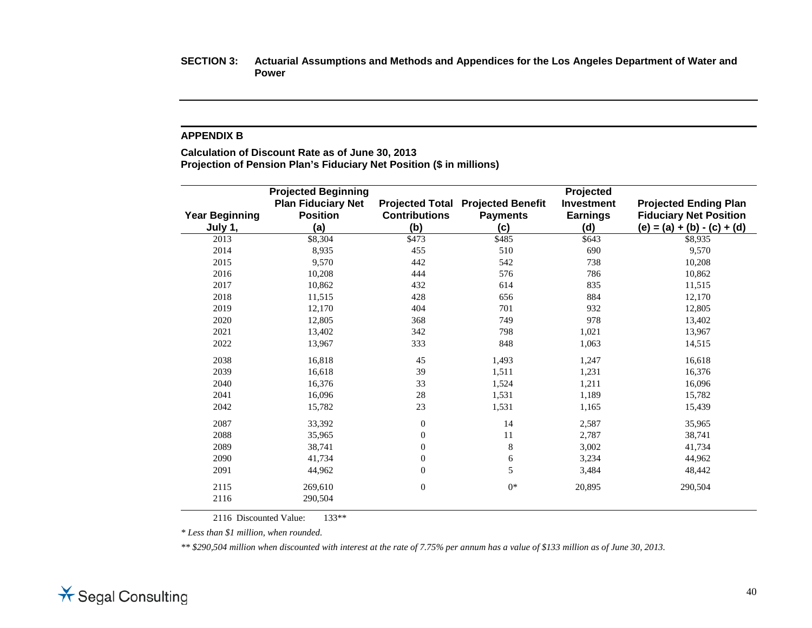#### **APPENDIX B**

**Calculation of Discount Rate as of June 30, 2013 Projection of Pension Plan's Fiduciary Net Position (\$ in millions)**

| <b>Year Beginning</b><br>July 1, | <b>Projected Beginning</b><br><b>Plan Fiduciary Net</b><br><b>Position</b><br>(a) | <b>Contributions</b><br>(b) | <b>Projected Total Projected Benefit</b><br><b>Payments</b><br>(c) | Projected<br><b>Investment</b><br><b>Earnings</b><br>(d) | <b>Projected Ending Plan</b><br><b>Fiduciary Net Position</b><br>$(e) = (a) + (b) - (c) + (d)$ |
|----------------------------------|-----------------------------------------------------------------------------------|-----------------------------|--------------------------------------------------------------------|----------------------------------------------------------|------------------------------------------------------------------------------------------------|
| 2013                             | \$8,304                                                                           | \$473                       | \$485                                                              | \$643                                                    | \$8,935                                                                                        |
| 2014                             | 8,935                                                                             | 455                         | 510                                                                | 690                                                      | 9,570                                                                                          |
| 2015                             | 9,570                                                                             | 442                         | 542                                                                | 738                                                      | 10,208                                                                                         |
| 2016                             | 10,208                                                                            | 444                         | 576                                                                | 786                                                      | 10,862                                                                                         |
| 2017                             | 10,862                                                                            | 432                         | 614                                                                | 835                                                      | 11,515                                                                                         |
| 2018                             | 11,515                                                                            | 428                         | 656                                                                | 884                                                      | 12,170                                                                                         |
| 2019                             | 12,170                                                                            | 404                         | 701                                                                | 932                                                      | 12,805                                                                                         |
| 2020                             | 12,805                                                                            | 368                         | 749                                                                | 978                                                      | 13,402                                                                                         |
| 2021                             | 13,402                                                                            | 342                         | 798                                                                | 1,021                                                    | 13,967                                                                                         |
| 2022                             | 13,967                                                                            | 333                         | 848                                                                | 1,063                                                    | 14,515                                                                                         |
| 2038                             | 16,818                                                                            | 45                          | 1,493                                                              | 1,247                                                    | 16,618                                                                                         |
| 2039                             | 16,618                                                                            | 39                          | 1,511                                                              | 1,231                                                    | 16,376                                                                                         |
| 2040                             | 16,376                                                                            | 33                          | 1,524                                                              | 1,211                                                    | 16,096                                                                                         |
| 2041                             | 16,096                                                                            | 28                          | 1,531                                                              | 1,189                                                    | 15,782                                                                                         |
| 2042                             | 15,782                                                                            | 23                          | 1,531                                                              | 1,165                                                    | 15,439                                                                                         |
| 2087                             | 33,392                                                                            | $\boldsymbol{0}$            | 14                                                                 | 2,587                                                    | 35,965                                                                                         |
| 2088                             | 35,965                                                                            | $\mathbf{0}$                | 11                                                                 | 2,787                                                    | 38,741                                                                                         |
| 2089                             | 38,741                                                                            | $\boldsymbol{0}$            | 8                                                                  | 3,002                                                    | 41,734                                                                                         |
| 2090                             | 41,734                                                                            | $\boldsymbol{0}$            | 6                                                                  | 3,234                                                    | 44,962                                                                                         |
| 2091                             | 44,962                                                                            | $\mathbf{0}$                | 5                                                                  | 3,484                                                    | 48,442                                                                                         |
| 2115                             | 269,610                                                                           | $\boldsymbol{0}$            | $0*$                                                               | 20,895                                                   | 290,504                                                                                        |
| 2116                             | 290,504                                                                           |                             |                                                                    |                                                          |                                                                                                |

2116 Discounted Value: 133<sup>\*\*</sup>

*\* Less than \$1 million, when rounded.*

*\*\* \$290,504 million when discounted with interest at the rate of 7.75% per annum has a value of \$133 million as of June 30, 2013.*

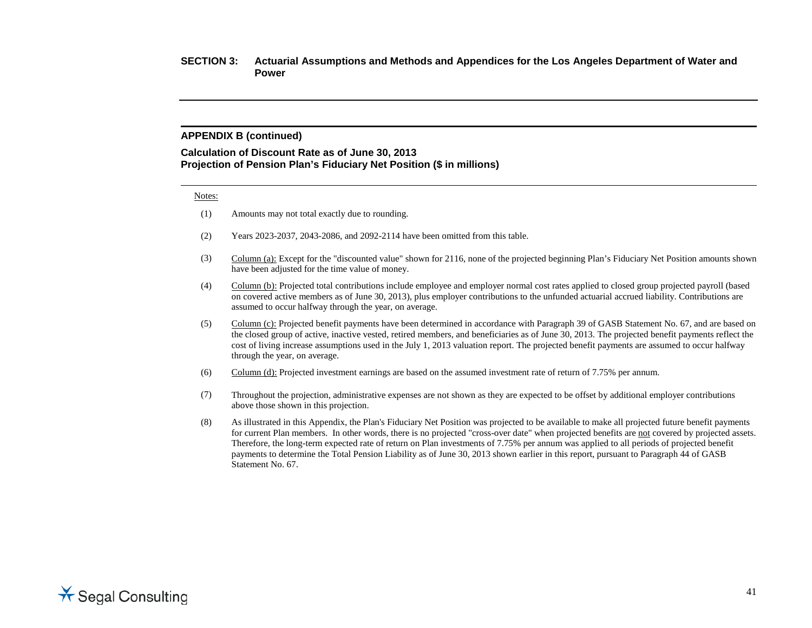#### **APPENDIX B (continued)**

#### **Calculation of Discount Rate as of June 30, 2013 Projection of Pension Plan's Fiduciary Net Position (\$ in millions)**

#### Notes:

- (1) Amounts may not total exactly due to rounding.
- (2) Years 2023-2037, 2043-2086, and 2092-2114 have been omitted from this table.
- (3) Column (a): Except for the "discounted value" shown for 2116, none of the projected beginning Plan's Fiduciary Net Position amounts shown have been adjusted for the time value of money.
- (4) Column (b): Projected total contributions include employee and employer normal cost rates applied to closed group projected payroll (based on covered active members as of June 30, 2013), plus employer contributions to the unfunded actuarial accrued liability. Contributions are assumed to occur halfway through the year, on average.
- (5) Column (c): Projected benefit payments have been determined in accordance with Paragraph 39 of GASB Statement No. 67, and are based on the closed group of active, inactive vested, retired members, and beneficiaries as of June 30, 2013. The projected benefit payments reflect the cost of living increase assumptions used in the July 1, 2013 valuation report. The projected benefit payments are assumed to occur halfway through the year, on average.
- (6) Column (d): Projected investment earnings are based on the assumed investment rate of return of 7.75% per annum.
- (7) Throughout the projection, administrative expenses are not shown as they are expected to be offset by additional employer contributions above those shown in this projection.
- (8) As illustrated in this Appendix, the Plan's Fiduciary Net Position was projected to be available to make all projected future benefit payments for current Plan members. In other words, there is no projected "cross-over date" when projected benefits are not covered by projected assets. Therefore, the long-term expected rate of return on Plan investments of 7.75% per annum was applied to all periods of projected benefit payments to determine the Total Pension Liability as of June 30, 2013 shown earlier in this report, pursuant to Paragraph 44 of GASB Statement No. 67.

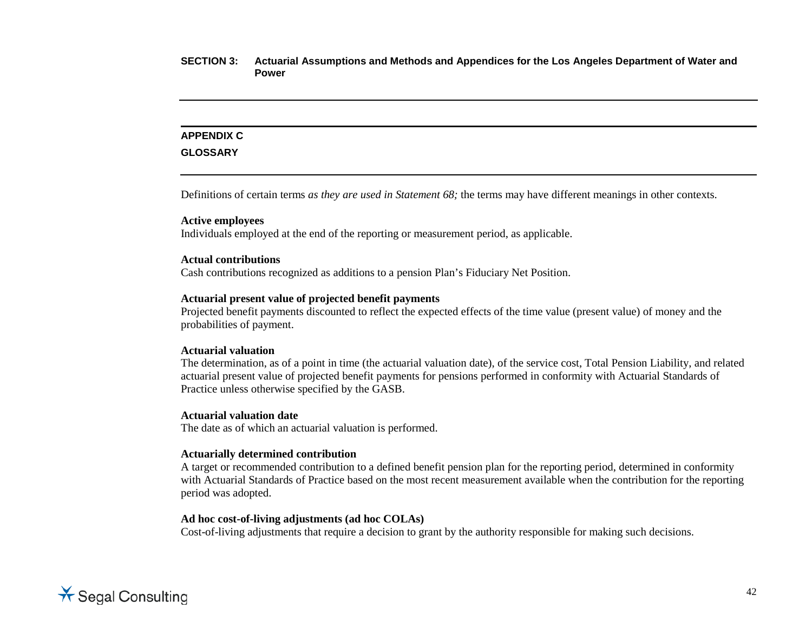## **APPENDIX C**

#### **GLOSSARY**

Definitions of certain terms *as they are used in Statement 68;* the terms may have different meanings in other contexts.

## **Active employees**

Individuals employed at the end of the reporting or measurement period, as applicable.

#### **Actual contributions**

Cash contributions recognized as additions to a pension Plan's Fiduciary Net Position.

#### **Actuarial present value of projected benefit payments**

Projected benefit payments discounted to reflect the expected effects of the time value (present value) of money and the probabilities of payment.

#### **Actuarial valuation**

The determination, as of a point in time (the actuarial valuation date), of the service cost, Total Pension Liability, and related actuarial present value of projected benefit payments for pensions performed in conformity with Actuarial Standards of Practice unless otherwise specified by the GASB.

#### **Actuarial valuation date**

The date as of which an actuarial valuation is performed.

#### **Actuarially determined contribution**

A target or recommended contribution to a defined benefit pension plan for the reporting period, determined in conformity with Actuarial Standards of Practice based on the most recent measurement available when the contribution for the reporting period was adopted.

#### **Ad hoc cost-of-living adjustments (ad hoc COLAs)**

Cost-of-living adjustments that require a decision to grant by the authority responsible for making such decisions.

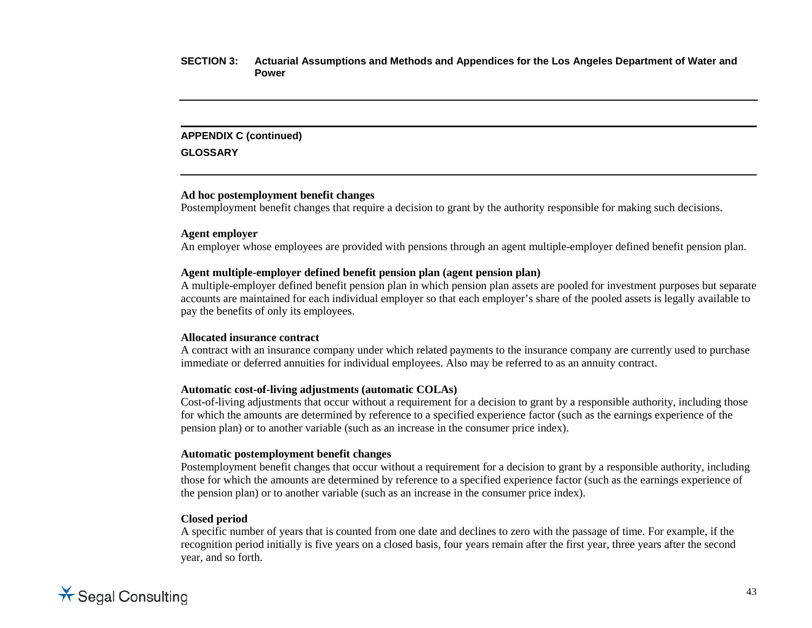#### **APPENDIX C (continued)**

**GLOSSARY**

#### **Ad hoc postemployment benefit changes**

Postemployment benefit changes that require a decision to grant by the authority responsible for making such decisions.

#### **Agent employer**

An employer whose employees are provided with pensions through an agent multiple-employer defined benefit pension plan.

### **Agent multiple-employer defined benefit pension plan (agent pension plan)**

A multiple-employer defined benefit pension plan in which pension plan assets are pooled for investment purposes but separate accounts are maintained for each individual employer so that each employer's share of the pooled assets is legally available to pay the benefits of only its employees.

#### **Allocated insurance contract**

A contract with an insurance company under which related payments to the insurance company are currently used to purchase immediate or deferred annuities for individual employees. Also may be referred to as an annuity contract.

## **Automatic cost-of-living adjustments (automatic COLAs)**

Cost-of-living adjustments that occur without a requirement for a decision to grant by a responsible authority, including those for which the amounts are determined by reference to a specified experience factor (such as the earnings experience of the pension plan) or to another variable (such as an increase in the consumer price index).

## **Automatic postemployment benefit changes**

Postemployment benefit changes that occur without a requirement for a decision to grant by a responsible authority, including those for which the amounts are determined by reference to a specified experience factor (such as the earnings experience of the pension plan) or to another variable (such as an increase in the consumer price index).

#### **Closed period**

A specific number of years that is counted from one date and declines to zero with the passage of time. For example, if the recognition period initially is five years on a closed basis, four years remain after the first year, three years after the second year, and so forth.

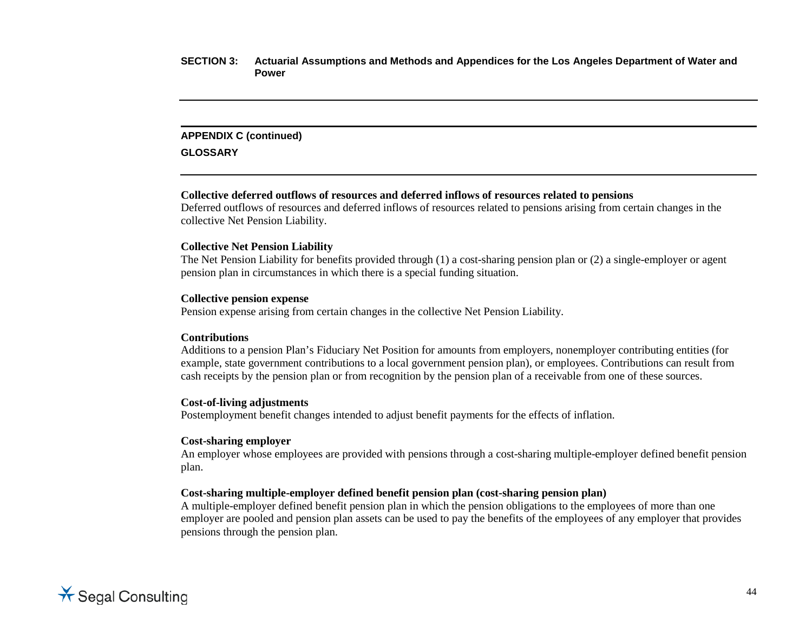#### **APPENDIX C (continued)**

**GLOSSARY**

## **Collective deferred outflows of resources and deferred inflows of resources related to pensions**

Deferred outflows of resources and deferred inflows of resources related to pensions arising from certain changes in the collective Net Pension Liability.

#### **Collective Net Pension Liability**

The Net Pension Liability for benefits provided through (1) a cost-sharing pension plan or (2) a single-employer or agent pension plan in circumstances in which there is a special funding situation.

#### **Collective pension expense**

Pension expense arising from certain changes in the collective Net Pension Liability.

#### **Contributions**

Additions to a pension Plan's Fiduciary Net Position for amounts from employers, nonemployer contributing entities (for example, state government contributions to a local government pension plan), or employees. Contributions can result from cash receipts by the pension plan or from recognition by the pension plan of a receivable from one of these sources.

## **Cost-of-living adjustments**

Postemployment benefit changes intended to adjust benefit payments for the effects of inflation.

## **Cost-sharing employer**

An employer whose employees are provided with pensions through a cost-sharing multiple-employer defined benefit pension plan.

## **Cost-sharing multiple-employer defined benefit pension plan (cost-sharing pension plan)**

A multiple-employer defined benefit pension plan in which the pension obligations to the employees of more than one employer are pooled and pension plan assets can be used to pay the benefits of the employees of any employer that provides pensions through the pension plan.

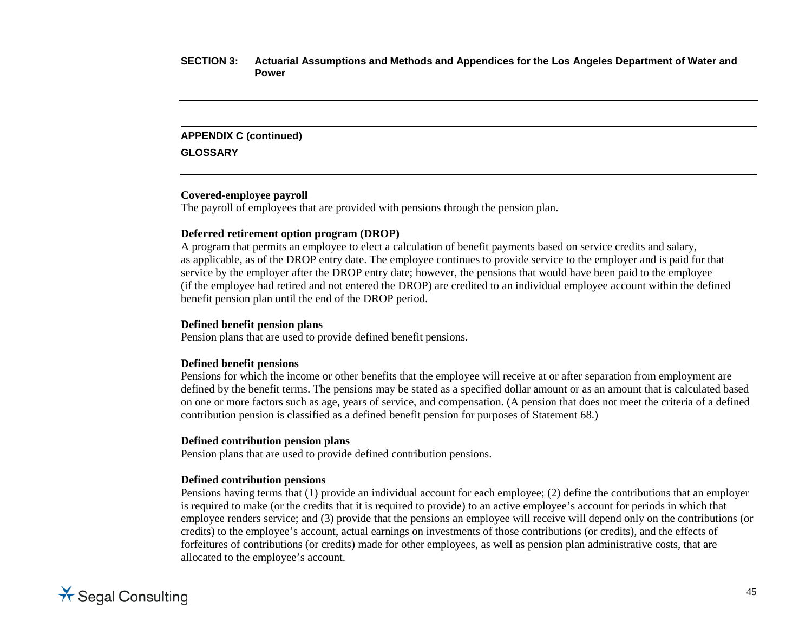#### **APPENDIX C (continued)**

**GLOSSARY**

### **Covered-employee payroll**

The payroll of employees that are provided with pensions through the pension plan.

## **Deferred retirement option program (DROP)**

A program that permits an employee to elect a calculation of benefit payments based on service credits and salary, as applicable, as of the DROP entry date. The employee continues to provide service to the employer and is paid for that service by the employer after the DROP entry date; however, the pensions that would have been paid to the employee (if the employee had retired and not entered the DROP) are credited to an individual employee account within the defined benefit pension plan until the end of the DROP period.

## **Defined benefit pension plans**

Pension plans that are used to provide defined benefit pensions.

## **Defined benefit pensions**

Pensions for which the income or other benefits that the employee will receive at or after separation from employment are defined by the benefit terms. The pensions may be stated as a specified dollar amount or as an amount that is calculated based on one or more factors such as age, years of service, and compensation. (A pension that does not meet the criteria of a defined contribution pension is classified as a defined benefit pension for purposes of Statement 68.)

## **Defined contribution pension plans**

Pension plans that are used to provide defined contribution pensions.

## **Defined contribution pensions**

Pensions having terms that (1) provide an individual account for each employee; (2) define the contributions that an employer is required to make (or the credits that it is required to provide) to an active employee's account for periods in which that employee renders service; and (3) provide that the pensions an employee will receive will depend only on the contributions (or credits) to the employee's account, actual earnings on investments of those contributions (or credits), and the effects of forfeitures of contributions (or credits) made for other employees, as well as pension plan administrative costs, that are allocated to the employee's account.

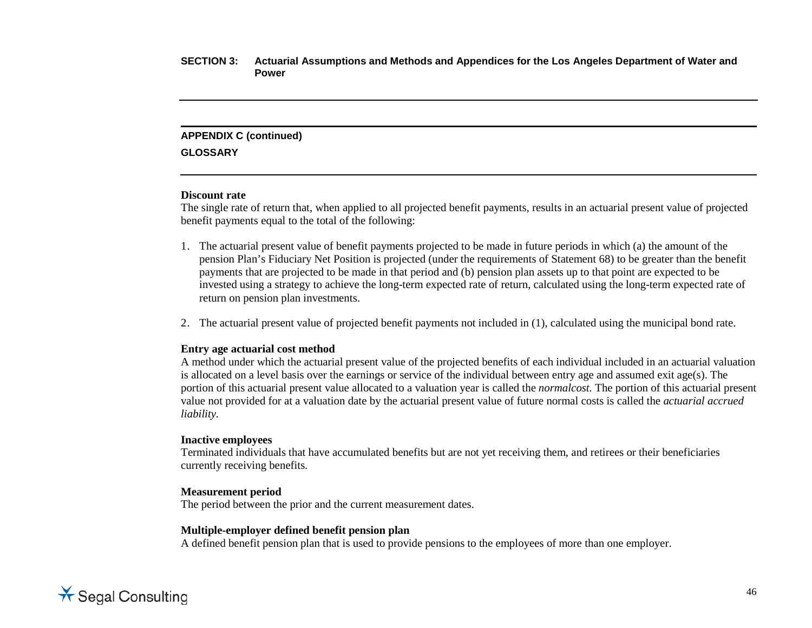## **APPENDIX C (continued)**

**GLOSSARY**

#### **Discount rate**

The single rate of return that, when applied to all projected benefit payments, results in an actuarial present value of projected benefit payments equal to the total of the following:

- 1. The actuarial present value of benefit payments projected to be made in future periods in which (a) the amount of the pension Plan's Fiduciary Net Position is projected (under the requirements of Statement 68) to be greater than the benefit payments that are projected to be made in that period and (b) pension plan assets up to that point are expected to be invested using a strategy to achieve the long-term expected rate of return, calculated using the long-term expected rate of return on pension plan investments.
- 2. The actuarial present value of projected benefit payments not included in (1), calculated using the municipal bond rate.

## **Entry age actuarial cost method**

A method under which the actuarial present value of the projected benefits of each individual included in an actuarial valuation is allocated on a level basis over the earnings or service of the individual between entry age and assumed exit age(s). The portion of this actuarial present value allocated to a valuation year is called the *normalcost.* The portion of this actuarial present value not provided for at a valuation date by the actuarial present value of future normal costs is called the *actuarial accrued liability.*

## **Inactive employees**

Terminated individuals that have accumulated benefits but are not yet receiving them, and retirees or their beneficiaries currently receiving benefits.

## **Measurement period**

The period between the prior and the current measurement dates.

## **Multiple-employer defined benefit pension plan**

A defined benefit pension plan that is used to provide pensions to the employees of more than one employer.

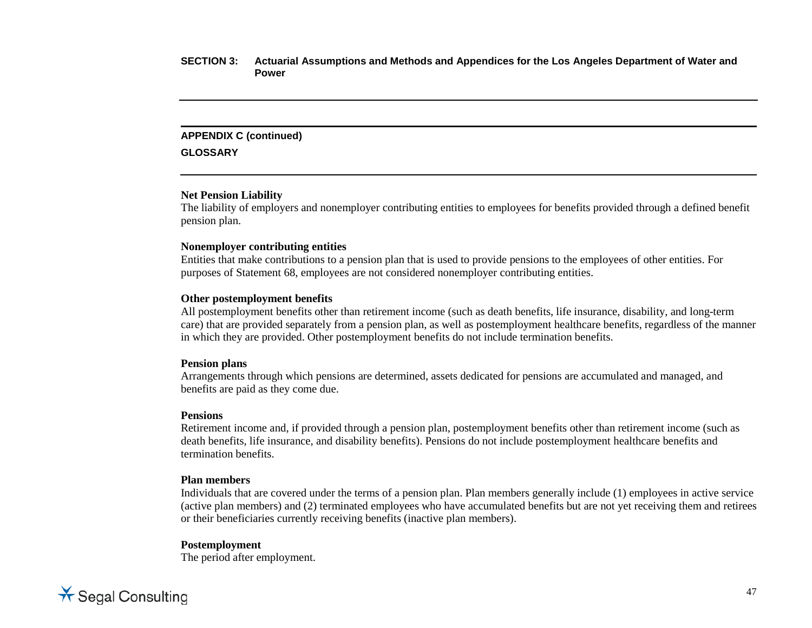#### **APPENDIX C (continued)**

**GLOSSARY**

#### **Net Pension Liability**

The liability of employers and nonemployer contributing entities to employees for benefits provided through a defined benefit pension plan.

#### **Nonemployer contributing entities**

Entities that make contributions to a pension plan that is used to provide pensions to the employees of other entities. For purposes of Statement 68, employees are not considered nonemployer contributing entities.

#### **Other postemployment benefits**

All postemployment benefits other than retirement income (such as death benefits, life insurance, disability, and long-term care) that are provided separately from a pension plan, as well as postemployment healthcare benefits, regardless of the manner in which they are provided. Other postemployment benefits do not include termination benefits.

#### **Pension plans**

Arrangements through which pensions are determined, assets dedicated for pensions are accumulated and managed, and benefits are paid as they come due.

#### **Pensions**

Retirement income and, if provided through a pension plan, postemployment benefits other than retirement income (such as death benefits, life insurance, and disability benefits). Pensions do not include postemployment healthcare benefits and termination benefits.

## **Plan members**

Individuals that are covered under the terms of a pension plan. Plan members generally include (1) employees in active service (active plan members) and (2) terminated employees who have accumulated benefits but are not yet receiving them and retirees or their beneficiaries currently receiving benefits (inactive plan members).

#### **Postemployment**

The period after employment.

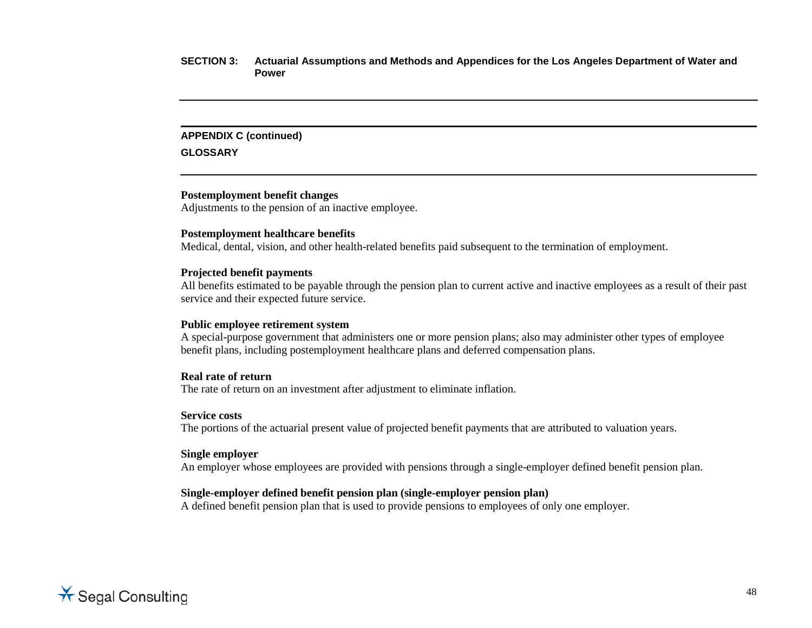#### **APPENDIX C (continued)**

**GLOSSARY**

### **Postemployment benefit changes**

Adjustments to the pension of an inactive employee.

#### **Postemployment healthcare benefits**

Medical, dental, vision, and other health-related benefits paid subsequent to the termination of employment.

#### **Projected benefit payments**

All benefits estimated to be payable through the pension plan to current active and inactive employees as a result of their past service and their expected future service.

#### **Public employee retirement system**

A special-purpose government that administers one or more pension plans; also may administer other types of employee benefit plans, including postemployment healthcare plans and deferred compensation plans.

#### **Real rate of return**

The rate of return on an investment after adjustment to eliminate inflation.

#### **Service costs**

The portions of the actuarial present value of projected benefit payments that are attributed to valuation years.

#### **Single employer**

An employer whose employees are provided with pensions through a single-employer defined benefit pension plan.

#### **Single-employer defined benefit pension plan (single-employer pension plan)**

A defined benefit pension plan that is used to provide pensions to employees of only one employer.